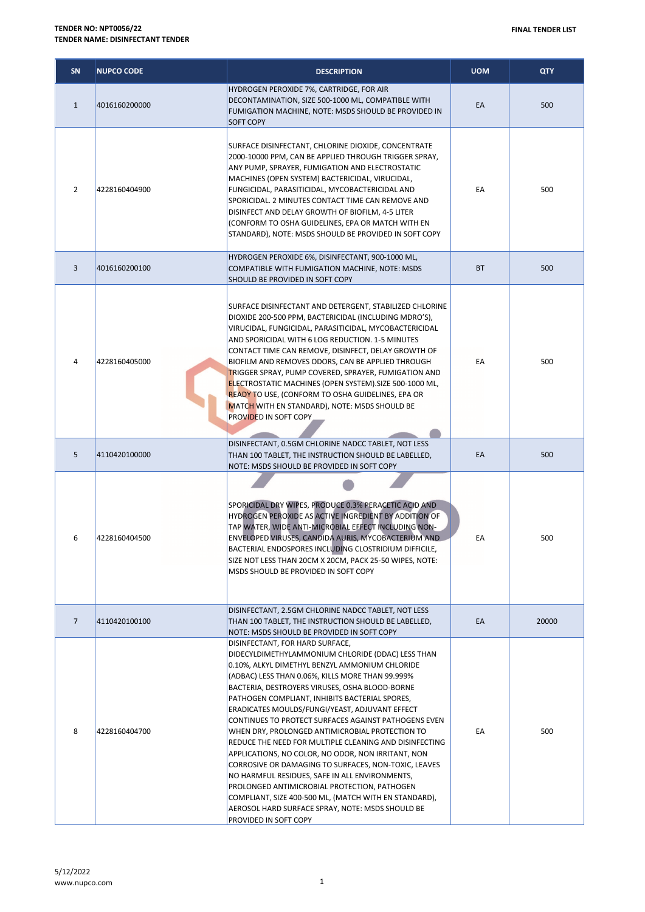| SN             | <b>NUPCO CODE</b> | <b>DESCRIPTION</b>                                                                                                                                                                                                                                                                                                                                                                                                                                                                                                                                                                                                                                                                                                                                                                                                                                                          | <b>UOM</b> | <b>QTY</b> |
|----------------|-------------------|-----------------------------------------------------------------------------------------------------------------------------------------------------------------------------------------------------------------------------------------------------------------------------------------------------------------------------------------------------------------------------------------------------------------------------------------------------------------------------------------------------------------------------------------------------------------------------------------------------------------------------------------------------------------------------------------------------------------------------------------------------------------------------------------------------------------------------------------------------------------------------|------------|------------|
| $\mathbf{1}$   | 4016160200000     | HYDROGEN PEROXIDE 7%, CARTRIDGE, FOR AIR<br>DECONTAMINATION, SIZE 500-1000 ML, COMPATIBLE WITH<br>FUMIGATION MACHINE, NOTE: MSDS SHOULD BE PROVIDED IN<br><b>SOFT COPY</b>                                                                                                                                                                                                                                                                                                                                                                                                                                                                                                                                                                                                                                                                                                  | EA         | 500        |
| 2              | 4228160404900     | SURFACE DISINFECTANT, CHLORINE DIOXIDE, CONCENTRATE<br>2000-10000 PPM, CAN BE APPLIED THROUGH TRIGGER SPRAY,<br>ANY PUMP, SPRAYER, FUMIGATION AND ELECTROSTATIC<br>MACHINES (OPEN SYSTEM) BACTERICIDAL, VIRUCIDAL,<br>FUNGICIDAL, PARASITICIDAL, MYCOBACTERICIDAL AND<br>SPORICIDAL. 2 MINUTES CONTACT TIME CAN REMOVE AND<br>DISINFECT AND DELAY GROWTH OF BIOFILM, 4-5 LITER<br>(CONFORM TO OSHA GUIDELINES, EPA OR MATCH WITH EN<br>STANDARD), NOTE: MSDS SHOULD BE PROVIDED IN SOFT COPY                                                                                                                                                                                                                                                                                                                                                                                | EA         | 500        |
| 3              | 4016160200100     | HYDROGEN PEROXIDE 6%, DISINFECTANT, 900-1000 ML,<br>COMPATIBLE WITH FUMIGATION MACHINE, NOTE: MSDS<br>SHOULD BE PROVIDED IN SOFT COPY                                                                                                                                                                                                                                                                                                                                                                                                                                                                                                                                                                                                                                                                                                                                       | BT         | 500        |
| 4              | 4228160405000     | SURFACE DISINFECTANT AND DETERGENT, STABILIZED CHLORINE<br>DIOXIDE 200-500 PPM, BACTERICIDAL (INCLUDING MDRO'S),<br>VIRUCIDAL, FUNGICIDAL, PARASITICIDAL, MYCOBACTERICIDAL<br>AND SPORICIDAL WITH 6 LOG REDUCTION. 1-5 MINUTES<br>CONTACT TIME CAN REMOVE, DISINFECT, DELAY GROWTH OF<br>BIOFILM AND REMOVES ODORS, CAN BE APPLIED THROUGH<br>TRIGGER SPRAY, PUMP COVERED, SPRAYER, FUMIGATION AND<br>ELECTROSTATIC MACHINES (OPEN SYSTEM).SIZE 500-1000 ML,<br><b>READY TO USE, (CONFORM TO OSHA GUIDELINES, EPA OR</b><br>MATCH WITH EN STANDARD), NOTE: MSDS SHOULD BE<br>PROVIDED IN SOFT COPY                                                                                                                                                                                                                                                                          | EA         | 500        |
| 5              | 4110420100000     | DISINFECTANT, 0.5GM CHLORINE NADCC TABLET, NOT LESS<br>THAN 100 TABLET, THE INSTRUCTION SHOULD BE LABELLED,<br>NOTE: MSDS SHOULD BE PROVIDED IN SOFT COPY                                                                                                                                                                                                                                                                                                                                                                                                                                                                                                                                                                                                                                                                                                                   | EA         | 500        |
| 6              | 4228160404500     | SPORICIDAL DRY WIPES, PRODUCE 0.3% PERACETIC ACID AND<br>HYDROGEN PEROXIDE AS ACTIVE INGREDIENT BY ADDITION OF<br>TAP WATER, WIDE ANTI-MICROBIAL EFFECT INCLUDING NON-<br>ENVELOPED VIRUSES, CANDIDA AURIS, MYCOBACTERIUM AND<br>BACTERIAL ENDOSPORES INCLUDING CLOSTRIDIUM DIFFICILE,<br>SIZE NOT LESS THAN 20CM X 20CM, PACK 25-50 WIPES, NOTE:<br>MSDS SHOULD BE PROVIDED IN SOFT COPY                                                                                                                                                                                                                                                                                                                                                                                                                                                                                   | EА         | 500        |
| $\overline{7}$ | 4110420100100     | DISINFECTANT, 2.5GM CHLORINE NADCC TABLET, NOT LESS<br>THAN 100 TABLET, THE INSTRUCTION SHOULD BE LABELLED,<br>NOTE: MSDS SHOULD BE PROVIDED IN SOFT COPY                                                                                                                                                                                                                                                                                                                                                                                                                                                                                                                                                                                                                                                                                                                   | EA         | 20000      |
| 8              | 4228160404700     | DISINFECTANT, FOR HARD SURFACE,<br>DIDECYLDIMETHYLAMMONIUM CHLORIDE (DDAC) LESS THAN<br>0.10%, ALKYL DIMETHYL BENZYL AMMONIUM CHLORIDE<br>(ADBAC) LESS THAN 0.06%, KILLS MORE THAN 99.999%<br>BACTERIA, DESTROYERS VIRUSES, OSHA BLOOD-BORNE<br>PATHOGEN COMPLIANT, INHIBITS BACTERIAL SPORES,<br>ERADICATES MOULDS/FUNGI/YEAST, ADJUVANT EFFECT<br>CONTINUES TO PROTECT SURFACES AGAINST PATHOGENS EVEN<br>WHEN DRY, PROLONGED ANTIMICROBIAL PROTECTION TO<br>REDUCE THE NEED FOR MULTIPLE CLEANING AND DISINFECTING<br>APPLICATIONS, NO COLOR, NO ODOR, NON IRRITANT, NON<br>CORROSIVE OR DAMAGING TO SURFACES, NON-TOXIC, LEAVES<br>NO HARMFUL RESIDUES, SAFE IN ALL ENVIRONMENTS,<br>PROLONGED ANTIMICROBIAL PROTECTION, PATHOGEN<br>COMPLIANT, SIZE 400-500 ML, (MATCH WITH EN STANDARD),<br>AEROSOL HARD SURFACE SPRAY, NOTE: MSDS SHOULD BE<br>PROVIDED IN SOFT COPY | EA         | 500        |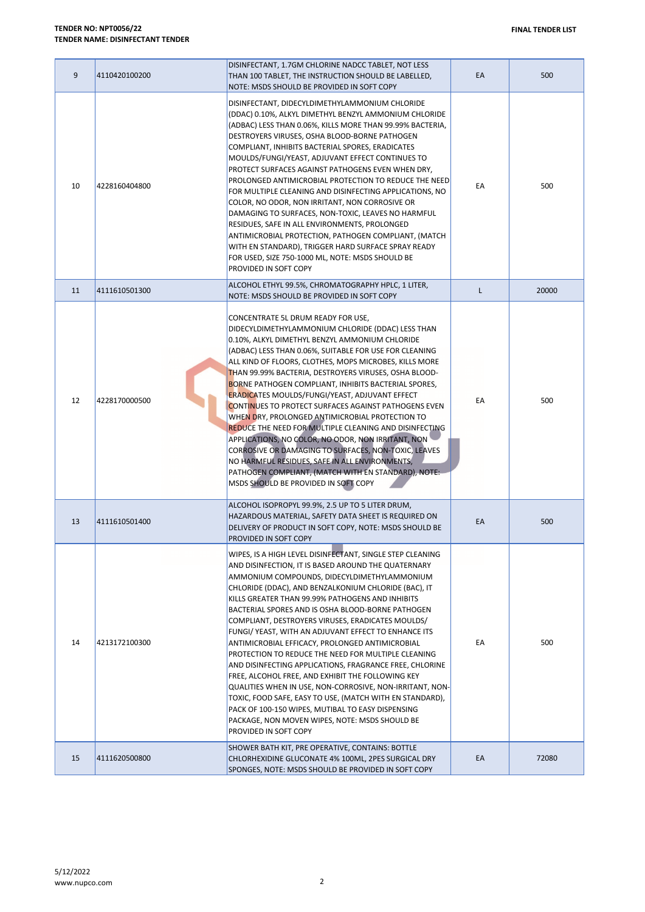| 9  | 4110420100200 | DISINFECTANT, 1.7GM CHLORINE NADCC TABLET, NOT LESS<br>THAN 100 TABLET, THE INSTRUCTION SHOULD BE LABELLED,<br>NOTE: MSDS SHOULD BE PROVIDED IN SOFT COPY                                                                                                                                                                                                                                                                                                                                                                                                                                                                                                                                                                                                                                                                                                                                                                       | EA | 500   |
|----|---------------|---------------------------------------------------------------------------------------------------------------------------------------------------------------------------------------------------------------------------------------------------------------------------------------------------------------------------------------------------------------------------------------------------------------------------------------------------------------------------------------------------------------------------------------------------------------------------------------------------------------------------------------------------------------------------------------------------------------------------------------------------------------------------------------------------------------------------------------------------------------------------------------------------------------------------------|----|-------|
| 10 | 4228160404800 | DISINFECTANT, DIDECYLDIMETHYLAMMONIUM CHLORIDE<br>(DDAC) 0.10%, ALKYL DIMETHYL BENZYL AMMONIUM CHLORIDE<br>(ADBAC) LESS THAN 0.06%, KILLS MORE THAN 99.99% BACTERIA,<br>DESTROYERS VIRUSES, OSHA BLOOD-BORNE PATHOGEN<br>COMPLIANT, INHIBITS BACTERIAL SPORES, ERADICATES<br>MOULDS/FUNGI/YEAST, ADJUVANT EFFECT CONTINUES TO<br>PROTECT SURFACES AGAINST PATHOGENS EVEN WHEN DRY,<br>PROLONGED ANTIMICROBIAL PROTECTION TO REDUCE THE NEED<br>FOR MULTIPLE CLEANING AND DISINFECTING APPLICATIONS, NO<br>COLOR, NO ODOR, NON IRRITANT, NON CORROSIVE OR<br>DAMAGING TO SURFACES, NON-TOXIC, LEAVES NO HARMFUL<br>RESIDUES, SAFE IN ALL ENVIRONMENTS, PROLONGED<br>ANTIMICROBIAL PROTECTION, PATHOGEN COMPLIANT, (MATCH<br>WITH EN STANDARD), TRIGGER HARD SURFACE SPRAY READY<br>FOR USED, SIZE 750-1000 ML, NOTE: MSDS SHOULD BE<br>PROVIDED IN SOFT COPY                                                                     | EA | 500   |
| 11 | 4111610501300 | ALCOHOL ETHYL 99.5%, CHROMATOGRAPHY HPLC, 1 LITER,<br>NOTE: MSDS SHOULD BE PROVIDED IN SOFT COPY                                                                                                                                                                                                                                                                                                                                                                                                                                                                                                                                                                                                                                                                                                                                                                                                                                | L. | 20000 |
| 12 | 4228170000500 | CONCENTRATE 5L DRUM READY FOR USE,<br>DIDECYLDIMETHYLAMMONIUM CHLORIDE (DDAC) LESS THAN<br>0.10%, ALKYL DIMETHYL BENZYL AMMONIUM CHLORIDE<br>(ADBAC) LESS THAN 0.06%, SUITABLE FOR USE FOR CLEANING<br>ALL KIND OF FLOORS, CLOTHES, MOPS MICROBES, KILLS MORE<br>THAN 99.99% BACTERIA, DESTROYERS VIRUSES, OSHA BLOOD-<br><b>BORNE PATHOGEN COMPLIANT, INHIBITS BACTERIAL SPORES,</b><br><b>ERADICATES MOULDS/FUNGI/YEAST, ADJUVANT EFFECT</b><br><b>CONTINUES TO PROTECT SURFACES AGAINST PATHOGENS EVEN</b><br>WHEN DRY, PROLONGED ANTIMICROBIAL PROTECTION TO<br>REDUCE THE NEED FOR MULTIPLE CLEANING AND DISINFECTING<br>APPLICATIONS, NO COLOR, NO ODOR, NON IRRITANT, NON<br>CORROSIVE OR DAMAGING TO SURFACES, NON-TOXIC, LEAVES<br>NO HARMFUL RESIDUES, SAFE IN ALL ENVIRONMENTS,<br>PATHOGEN COMPLIANT, (MATCH WITH EN STANDARD), NOTE:<br>MSDS SHOULD BE PROVIDED IN SOFT COPY                                       | EА | 500   |
| 13 | 4111610501400 | ALCOHOL ISOPROPYL 99.9%, 2.5 UP TO 5 LITER DRUM,<br>HAZARDOUS MATERIAL, SAFETY DATA SHEET IS REQUIRED ON<br>DELIVERY OF PRODUCT IN SOFT COPY, NOTE: MSDS SHOULD BE<br>PROVIDED IN SOFT COPY                                                                                                                                                                                                                                                                                                                                                                                                                                                                                                                                                                                                                                                                                                                                     | EA | 500   |
| 14 | 4213172100300 | WIPES, IS A HIGH LEVEL DISINFECTANT, SINGLE STEP CLEANING<br>AND DISINFECTION, IT IS BASED AROUND THE QUATERNARY<br>AMMONIUM COMPOUNDS, DIDECYLDIMETHYLAMMONIUM<br>CHLORIDE (DDAC), AND BENZALKONIUM CHLORIDE (BAC), IT<br>KILLS GREATER THAN 99.99% PATHOGENS AND INHIBITS<br>BACTERIAL SPORES AND IS OSHA BLOOD-BORNE PATHOGEN<br>COMPLIANT, DESTROYERS VIRUSES, ERADICATES MOULDS/<br>FUNGI/ YEAST, WITH AN ADJUVANT EFFECT TO ENHANCE ITS<br>ANTIMICROBIAL EFFICACY, PROLONGED ANTIMICROBIAL<br>PROTECTION TO REDUCE THE NEED FOR MULTIPLE CLEANING<br>AND DISINFECTING APPLICATIONS, FRAGRANCE FREE, CHLORINE<br>FREE, ALCOHOL FREE, AND EXHIBIT THE FOLLOWING KEY<br>QUALITIES WHEN IN USE, NON-CORROSIVE, NON-IRRITANT, NON-<br>TOXIC, FOOD SAFE, EASY TO USE, (MATCH WITH EN STANDARD),<br>PACK OF 100-150 WIPES, MUTIBAL TO EASY DISPENSING<br>PACKAGE, NON MOVEN WIPES, NOTE: MSDS SHOULD BE<br>PROVIDED IN SOFT COPY | EА | 500   |
| 15 | 4111620500800 | SHOWER BATH KIT, PRE OPERATIVE, CONTAINS: BOTTLE<br>CHLORHEXIDINE GLUCONATE 4% 100ML, 2PES SURGICAL DRY<br>SPONGES, NOTE: MSDS SHOULD BE PROVIDED IN SOFT COPY                                                                                                                                                                                                                                                                                                                                                                                                                                                                                                                                                                                                                                                                                                                                                                  | EA | 72080 |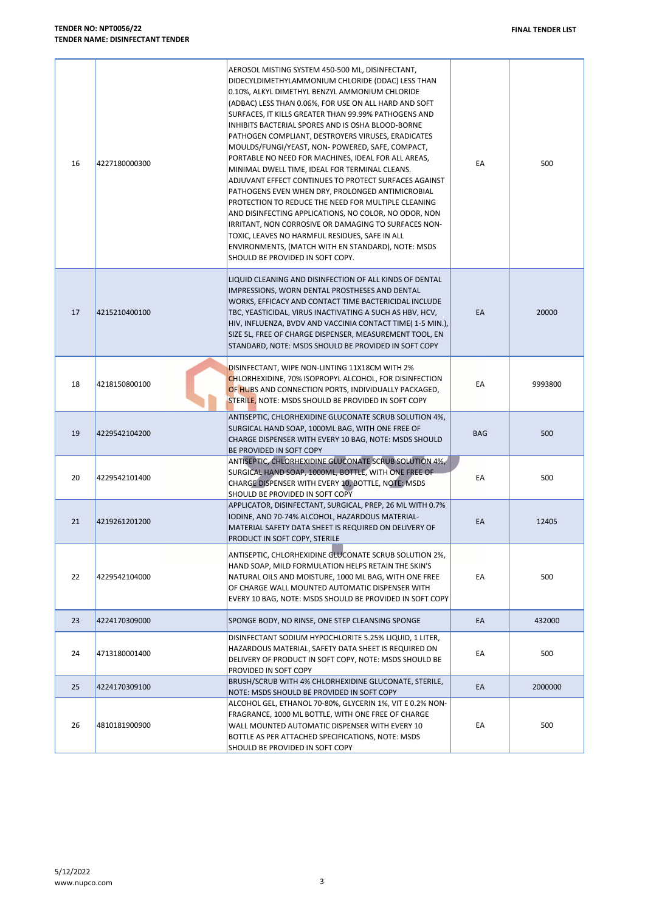| 16 | 4227180000300 | AEROSOL MISTING SYSTEM 450-500 ML, DISINFECTANT,<br>DIDECYLDIMETHYLAMMONIUM CHLORIDE (DDAC) LESS THAN<br>0.10%, ALKYL DIMETHYL BENZYL AMMONIUM CHLORIDE<br>(ADBAC) LESS THAN 0.06%, FOR USE ON ALL HARD AND SOFT<br>SURFACES. IT KILLS GREATER THAN 99.99% PATHOGENS AND<br>INHIBITS BACTERIAL SPORES AND IS OSHA BLOOD-BORNE<br>PATHOGEN COMPLIANT, DESTROYERS VIRUSES, ERADICATES<br>MOULDS/FUNGI/YEAST, NON- POWERED, SAFE, COMPACT,<br>PORTABLE NO NEED FOR MACHINES, IDEAL FOR ALL AREAS,<br>MINIMAL DWELL TIME, IDEAL FOR TERMINAL CLEANS.<br>ADJUVANT EFFECT CONTINUES TO PROTECT SURFACES AGAINST<br>PATHOGENS EVEN WHEN DRY, PROLONGED ANTIMICROBIAL<br>PROTECTION TO REDUCE THE NEED FOR MULTIPLE CLEANING<br>AND DISINFECTING APPLICATIONS, NO COLOR, NO ODOR, NON<br>IRRITANT, NON CORROSIVE OR DAMAGING TO SURFACES NON-<br>TOXIC, LEAVES NO HARMFUL RESIDUES, SAFE IN ALL<br>ENVIRONMENTS, (MATCH WITH EN STANDARD), NOTE: MSDS<br>SHOULD BE PROVIDED IN SOFT COPY. | EA         | 500     |
|----|---------------|-----------------------------------------------------------------------------------------------------------------------------------------------------------------------------------------------------------------------------------------------------------------------------------------------------------------------------------------------------------------------------------------------------------------------------------------------------------------------------------------------------------------------------------------------------------------------------------------------------------------------------------------------------------------------------------------------------------------------------------------------------------------------------------------------------------------------------------------------------------------------------------------------------------------------------------------------------------------------------------|------------|---------|
| 17 | 4215210400100 | LIQUID CLEANING AND DISINFECTION OF ALL KINDS OF DENTAL<br>IMPRESSIONS, WORN DENTAL PROSTHESES AND DENTAL<br>WORKS, EFFICACY AND CONTACT TIME BACTERICIDAL INCLUDE<br>TBC, YEASTICIDAL, VIRUS INACTIVATING A SUCH AS HBV, HCV,<br>HIV, INFLUENZA, BVDV AND VACCINIA CONTACT TIME(1-5 MIN.),<br>SIZE 5L, FREE OF CHARGE DISPENSER, MEASUREMENT TOOL, EN<br>STANDARD, NOTE: MSDS SHOULD BE PROVIDED IN SOFT COPY                                                                                                                                                                                                                                                                                                                                                                                                                                                                                                                                                                    | EA         | 20000   |
| 18 | 4218150800100 | DISINFECTANT, WIPE NON-LINTING 11X18CM WITH 2%<br>CHLORHEXIDINE, 70% ISOPROPYL ALCOHOL, FOR DISINFECTION<br>OF HUBS AND CONNECTION PORTS, INDIVIDUALLY PACKAGED,<br>STERILE, NOTE: MSDS SHOULD BE PROVIDED IN SOFT COPY                                                                                                                                                                                                                                                                                                                                                                                                                                                                                                                                                                                                                                                                                                                                                           | EA         | 9993800 |
| 19 | 4229542104200 | ANTISEPTIC, CHLORHEXIDINE GLUCONATE SCRUB SOLUTION 4%,<br>SURGICAL HAND SOAP, 1000ML BAG, WITH ONE FREE OF<br>CHARGE DISPENSER WITH EVERY 10 BAG, NOTE: MSDS SHOULD<br>BE PROVIDED IN SOFT COPY                                                                                                                                                                                                                                                                                                                                                                                                                                                                                                                                                                                                                                                                                                                                                                                   | <b>BAG</b> | 500     |
| 20 | 4229542101400 | ANTISEPTIC, CHLORHEXIDINE GLUCONATE SCRUB SOLUTION 4%,<br>SURGICAL HAND SOAP, 1000ML, BOTTLE, WITH ONE FREE OF<br>CHARGE DISPENSER WITH EVERY 10, BOTTLE, NOTE: MSDS<br>SHOULD BE PROVIDED IN SOFT COPY                                                                                                                                                                                                                                                                                                                                                                                                                                                                                                                                                                                                                                                                                                                                                                           | EA         | 500     |
| 21 | 4219261201200 | APPLICATOR, DISINFECTANT, SURGICAL, PREP, 26 ML WITH 0.7%<br>IODINE, AND 70-74% ALCOHOL, HAZARDOUS MATERIAL-<br>MATERIAL SAFETY DATA SHEET IS REQUIRED ON DELIVERY OF<br>PRODUCT IN SOFT COPY, STERILE                                                                                                                                                                                                                                                                                                                                                                                                                                                                                                                                                                                                                                                                                                                                                                            | EA         | 12405   |
| 22 | 4229542104000 | ANTISEPTIC, CHLORHEXIDINE GLUCONATE SCRUB SOLUTION 2%,<br>HAND SOAP, MILD FORMULATION HELPS RETAIN THE SKIN'S<br>NATURAL OILS AND MOISTURE, 1000 ML BAG, WITH ONE FREE<br>OF CHARGE WALL MOUNTED AUTOMATIC DISPENSER WITH<br>EVERY 10 BAG, NOTE: MSDS SHOULD BE PROVIDED IN SOFT COPY                                                                                                                                                                                                                                                                                                                                                                                                                                                                                                                                                                                                                                                                                             | EA         | 500     |
| 23 | 4224170309000 | SPONGE BODY, NO RINSE, ONE STEP CLEANSING SPONGE                                                                                                                                                                                                                                                                                                                                                                                                                                                                                                                                                                                                                                                                                                                                                                                                                                                                                                                                  | EA         | 432000  |
| 24 | 4713180001400 | DISINFECTANT SODIUM HYPOCHLORITE 5.25% LIQUID, 1 LITER,<br>HAZARDOUS MATERIAL, SAFETY DATA SHEET IS REQUIRED ON<br>DELIVERY OF PRODUCT IN SOFT COPY, NOTE: MSDS SHOULD BE<br>PROVIDED IN SOFT COPY                                                                                                                                                                                                                                                                                                                                                                                                                                                                                                                                                                                                                                                                                                                                                                                | EA         | 500     |
| 25 | 4224170309100 | BRUSH/SCRUB WITH 4% CHLORHEXIDINE GLUCONATE, STERILE,<br>NOTE: MSDS SHOULD BE PROVIDED IN SOFT COPY                                                                                                                                                                                                                                                                                                                                                                                                                                                                                                                                                                                                                                                                                                                                                                                                                                                                               | EA         | 2000000 |
| 26 | 4810181900900 | ALCOHOL GEL, ETHANOL 70-80%, GLYCERIN 1%, VIT E 0.2% NON-<br>FRAGRANCE, 1000 ML BOTTLE, WITH ONE FREE OF CHARGE<br>WALL MOUNTED AUTOMATIC DISPENSER WITH EVERY 10<br>BOTTLE AS PER ATTACHED SPECIFICATIONS, NOTE: MSDS<br>SHOULD BE PROVIDED IN SOFT COPY                                                                                                                                                                                                                                                                                                                                                                                                                                                                                                                                                                                                                                                                                                                         | EA         | 500     |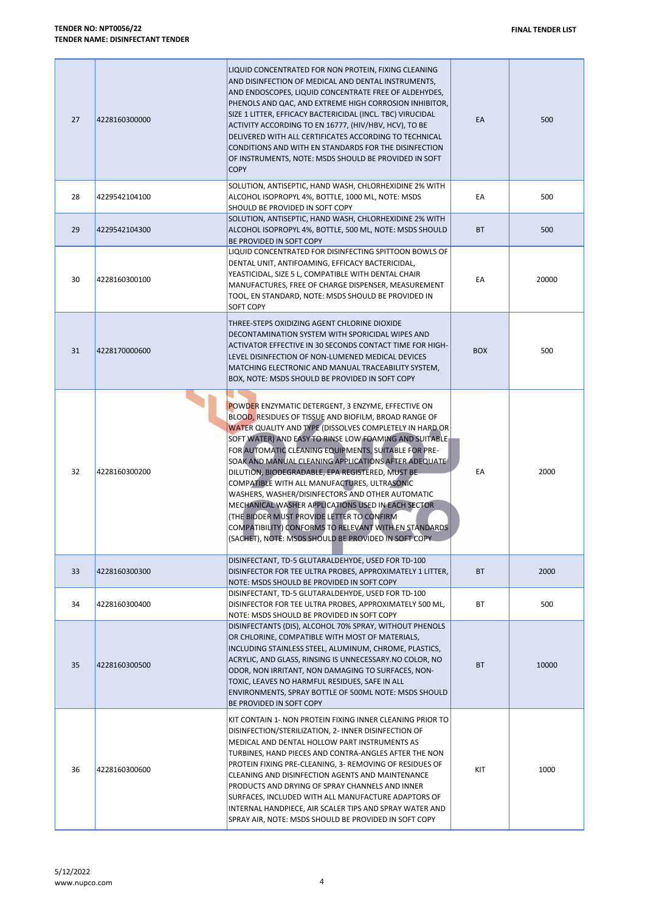| 27 | 4228160300000 | LIQUID CONCENTRATED FOR NON PROTEIN, FIXING CLEANING<br>AND DISINFECTION OF MEDICAL AND DENTAL INSTRUMENTS,<br>AND ENDOSCOPES, LIQUID CONCENTRATE FREE OF ALDEHYDES,<br>PHENOLS AND QAC, AND EXTREME HIGH CORROSION INHIBITOR,<br>SIZE 1 LITTER, EFFICACY BACTERICIDAL (INCL. TBC) VIRUCIDAL<br>ACTIVITY ACCORDING TO EN 16777, (HIV/HBV, HCV), TO BE<br>DELIVERED WITH ALL CERTIFICATES ACCORDING TO TECHNICAL<br>CONDITIONS AND WITH EN STANDARDS FOR THE DISINFECTION<br>OF INSTRUMENTS, NOTE: MSDS SHOULD BE PROVIDED IN SOFT<br><b>COPY</b>                                                                                                                                                                              | EA         | 500   |
|----|---------------|-------------------------------------------------------------------------------------------------------------------------------------------------------------------------------------------------------------------------------------------------------------------------------------------------------------------------------------------------------------------------------------------------------------------------------------------------------------------------------------------------------------------------------------------------------------------------------------------------------------------------------------------------------------------------------------------------------------------------------|------------|-------|
| 28 | 4229542104100 | SOLUTION, ANTISEPTIC, HAND WASH, CHLORHEXIDINE 2% WITH<br>ALCOHOL ISOPROPYL 4%, BOTTLE, 1000 ML, NOTE: MSDS<br>SHOULD BE PROVIDED IN SOFT COPY                                                                                                                                                                                                                                                                                                                                                                                                                                                                                                                                                                                | EA         | 500   |
| 29 | 4229542104300 | SOLUTION, ANTISEPTIC, HAND WASH, CHLORHEXIDINE 2% WITH<br>ALCOHOL ISOPROPYL 4%, BOTTLE, 500 ML, NOTE: MSDS SHOULD<br>BE PROVIDED IN SOFT COPY                                                                                                                                                                                                                                                                                                                                                                                                                                                                                                                                                                                 | <b>BT</b>  | 500   |
| 30 | 4228160300100 | LIQUID CONCENTRATED FOR DISINFECTING SPITTOON BOWLS OF<br>DENTAL UNIT, ANTIFOAMING, EFFICACY BACTERICIDAL,<br>YEASTICIDAL, SIZE 5 L, COMPATIBLE WITH DENTAL CHAIR<br>MANUFACTURES, FREE OF CHARGE DISPENSER, MEASUREMENT<br>TOOL, EN STANDARD, NOTE: MSDS SHOULD BE PROVIDED IN<br><b>SOFT COPY</b>                                                                                                                                                                                                                                                                                                                                                                                                                           | EA         | 20000 |
| 31 | 4228170000600 | THREE-STEPS OXIDIZING AGENT CHLORINE DIOXIDE<br>DECONTAMINATION SYSTEM WITH SPORICIDAL WIPES AND<br>ACTIVATOR EFFECTIVE IN 30 SECONDS CONTACT TIME FOR HIGH-<br>LEVEL DISINFECTION OF NON-LUMENED MEDICAL DEVICES<br>MATCHING ELECTRONIC AND MANUAL TRACEABILITY SYSTEM,<br>BOX, NOTE: MSDS SHOULD BE PROVIDED IN SOFT COPY                                                                                                                                                                                                                                                                                                                                                                                                   | <b>BOX</b> | 500   |
| 32 | 4228160300200 | POWDER ENZYMATIC DETERGENT, 3 ENZYME, EFFECTIVE ON<br>BLOOD, RESIDUES OF TISSUE AND BIOFILM, BROAD RANGE OF<br>WATER QUALITY AND TYPE (DISSOLVES COMPLETELY IN HARD OR<br>SOFT WATER) AND EASY TO RINSE LOW FOAMING AND SUITABLE<br>FOR AUTOMATIC CLEANING EQUIPMENTS, SUITABLE FOR PRE-<br>SOAK AND MANUAL CLEANING APPLICATIONS AFTER ADEQUATE<br>DILUTION, BIODEGRADABLE, EPA REGISTERED, MUST BE<br>COMPATIBLE WITH ALL MANUFACTURES, ULTRASONIC<br>WASHERS, WASHER/DISINFECTORS AND OTHER AUTOMATIC<br>MECHANICAL WASHER APPLICATIONS USED IN EACH SECTOR<br>(THE BIDDER MUST PROVIDE LETTER TO CONFIRM<br>COMPATIBILITY) CONFORMS TO RELEVANT WITH EN STANDARDS<br>(SACHET), NOTE: MSDS SHOULD BE PROVIDED IN SOFT COPY | EA         | 2000  |
| 33 | 4228160300300 | DISINFECTANT, TD-5 GLUTARALDEHYDE, USED FOR TD-100<br>DISINFECTOR FOR TEE ULTRA PROBES, APPROXIMATELY 1 LITTER,<br>NOTE: MSDS SHOULD BE PROVIDED IN SOFT COPY                                                                                                                                                                                                                                                                                                                                                                                                                                                                                                                                                                 | <b>BT</b>  | 2000  |
| 34 | 4228160300400 | DISINFECTANT, TD-5 GLUTARALDEHYDE, USED FOR TD-100<br>DISINFECTOR FOR TEE ULTRA PROBES, APPROXIMATELY 500 ML,<br>NOTE: MSDS SHOULD BE PROVIDED IN SOFT COPY                                                                                                                                                                                                                                                                                                                                                                                                                                                                                                                                                                   | ВT         | 500   |
| 35 | 4228160300500 | DISINFECTANTS (DIS), ALCOHOL 70% SPRAY, WITHOUT PHENOLS<br>OR CHLORINE, COMPATIBLE WITH MOST OF MATERIALS,<br>INCLUDING STAINLESS STEEL, ALUMINUM, CHROME, PLASTICS,<br>ACRYLIC, AND GLASS, RINSING IS UNNECESSARY.NO COLOR, NO<br>ODOR, NON IRRITANT, NON DAMAGING TO SURFACES, NON-<br>TOXIC, LEAVES NO HARMFUL RESIDUES, SAFE IN ALL<br>ENVIRONMENTS, SPRAY BOTTLE OF 500ML NOTE: MSDS SHOULD<br>BE PROVIDED IN SOFT COPY                                                                                                                                                                                                                                                                                                  | <b>BT</b>  | 10000 |
| 36 | 4228160300600 | KIT CONTAIN 1- NON PROTEIN FIXING INNER CLEANING PRIOR TO<br>DISINFECTION/STERILIZATION, 2- INNER DISINFECTION OF<br>MEDICAL AND DENTAL HOLLOW PART INSTRUMENTS AS<br>TURBINES, HAND PIECES AND CONTRA-ANGLES AFTER THE NON<br>PROTEIN FIXING PRE-CLEANING, 3- REMOVING OF RESIDUES OF<br>CLEANING AND DISINFECTION AGENTS AND MAINTENANCE<br>PRODUCTS AND DRYING OF SPRAY CHANNELS AND INNER<br>SURFACES, INCLUDED WITH ALL MANUFACTURE ADAPTORS OF<br>INTERNAL HANDPIECE, AIR SCALER TIPS AND SPRAY WATER AND<br>SPRAY AIR, NOTE: MSDS SHOULD BE PROVIDED IN SOFT COPY                                                                                                                                                      | KIT        | 1000  |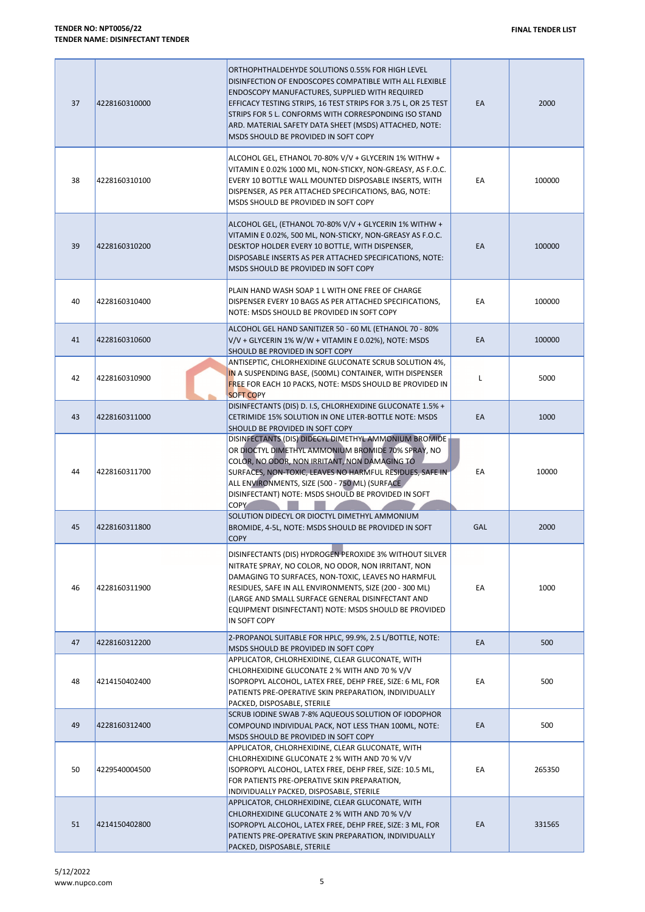| 37 | 4228160310000 | ORTHOPHTHALDEHYDE SOLUTIONS 0.55% FOR HIGH LEVEL<br>DISINFECTION OF ENDOSCOPES COMPATIBLE WITH ALL FLEXIBLE<br>ENDOSCOPY MANUFACTURES, SUPPLIED WITH REQUIRED<br>EFFICACY TESTING STRIPS, 16 TEST STRIPS FOR 3.75 L, OR 25 TEST<br>STRIPS FOR 5 L. CONFORMS WITH CORRESPONDING ISO STAND<br>ARD. MATERIAL SAFETY DATA SHEET (MSDS) ATTACHED, NOTE:<br>MSDS SHOULD BE PROVIDED IN SOFT COPY | EA         | 2000   |
|----|---------------|--------------------------------------------------------------------------------------------------------------------------------------------------------------------------------------------------------------------------------------------------------------------------------------------------------------------------------------------------------------------------------------------|------------|--------|
| 38 | 4228160310100 | ALCOHOL GEL, ETHANOL 70-80% V/V + GLYCERIN 1% WITHW +<br>VITAMIN E 0.02% 1000 ML, NON-STICKY, NON-GREASY, AS F.O.C.<br>EVERY 10 BOTTLE WALL MOUNTED DISPOSABLE INSERTS, WITH<br>DISPENSER, AS PER ATTACHED SPECIFICATIONS, BAG, NOTE:<br>MSDS SHOULD BE PROVIDED IN SOFT COPY                                                                                                              | EA         | 100000 |
| 39 | 4228160310200 | ALCOHOL GEL, (ETHANOL 70-80% V/V + GLYCERIN 1% WITHW +<br>VITAMIN E 0.02%, 500 ML, NON-STICKY, NON-GREASY AS F.O.C.<br>DESKTOP HOLDER EVERY 10 BOTTLE, WITH DISPENSER,<br>DISPOSABLE INSERTS AS PER ATTACHED SPECIFICATIONS, NOTE:<br>MSDS SHOULD BE PROVIDED IN SOFT COPY                                                                                                                 | EA         | 100000 |
| 40 | 4228160310400 | PLAIN HAND WASH SOAP 1 L WITH ONE FREE OF CHARGE<br>DISPENSER EVERY 10 BAGS AS PER ATTACHED SPECIFICATIONS,<br>NOTE: MSDS SHOULD BE PROVIDED IN SOFT COPY                                                                                                                                                                                                                                  | EA         | 100000 |
| 41 | 4228160310600 | ALCOHOL GEL HAND SANITIZER 50 - 60 ML (ETHANOL 70 - 80%<br>$V/V$ + GLYCERIN 1% W/W + VITAMIN E 0.02%), NOTE: MSDS<br>SHOULD BE PROVIDED IN SOFT COPY                                                                                                                                                                                                                                       | EA         | 100000 |
| 42 | 4228160310900 | ANTISEPTIC, CHLORHEXIDINE GLUCONATE SCRUB SOLUTION 4%,<br>IN A SUSPENDING BASE, (500ML) CONTAINER, WITH DISPENSER<br>FREE FOR EACH 10 PACKS, NOTE: MSDS SHOULD BE PROVIDED IN<br><b>SOFT COPY</b>                                                                                                                                                                                          | Г          | 5000   |
| 43 | 4228160311000 | DISINFECTANTS (DIS) D. I.S, CHLORHEXIDINE GLUCONATE 1.5% +<br>CETRIMIDE 15% SOLUTION IN ONE LITER-BOTTLE NOTE: MSDS<br>SHOULD BE PROVIDED IN SOFT COPY                                                                                                                                                                                                                                     | EA         | 1000   |
| 44 | 4228160311700 | DISINFECTANTS (DIS) DIDECYL DIMETHYL AMMONIUM BROMIDE<br>OR DIOCTYL DIMETHYL AMMONIUM BROMIDE 70% SPRAY, NO<br>COLOR, NO ODOR, NON IRRITANT, NON DAMAGING TO<br>SURFACES, NON-TOXIC, LEAVES NO HARMFUL RESIDUES, SAFE IN<br>ALL ENVIRONMENTS, SIZE (500 - 750 ML) (SURFACE<br>DISINFECTANT) NOTE: MSDS SHOULD BE PROVIDED IN SOFT<br><b>COPY</b>                                           | EA         | 10000  |
| 45 | 4228160311800 | SOLUTION DIDECYL OR DIOCTYL DIMETHYL AMMONIUM<br>BROMIDE, 4-5L, NOTE: MSDS SHOULD BE PROVIDED IN SOFT<br><b>COPY</b>                                                                                                                                                                                                                                                                       | <b>GAL</b> | 2000   |
| 46 | 4228160311900 | DISINFECTANTS (DIS) HYDROGEN PEROXIDE 3% WITHOUT SILVER<br>NITRATE SPRAY, NO COLOR, NO ODOR, NON IRRITANT, NON<br>DAMAGING TO SURFACES, NON-TOXIC, LEAVES NO HARMFUL<br>RESIDUES, SAFE IN ALL ENVIRONMENTS, SIZE (200 - 300 ML)<br>(LARGE AND SMALL SURFACE GENERAL DISINFECTANT AND<br>EQUIPMENT DISINFECTANT) NOTE: MSDS SHOULD BE PROVIDED<br>IN SOFT COPY                              | EA         | 1000   |
| 47 | 4228160312200 | 2-PROPANOL SUITABLE FOR HPLC, 99.9%, 2.5 L/BOTTLE, NOTE:<br>MSDS SHOULD BE PROVIDED IN SOFT COPY                                                                                                                                                                                                                                                                                           | EA         | 500    |
| 48 | 4214150402400 | APPLICATOR, CHLORHEXIDINE, CLEAR GLUCONATE, WITH<br>CHLORHEXIDINE GLUCONATE 2 % WITH AND 70 % V/V<br>ISOPROPYL ALCOHOL, LATEX FREE, DEHP FREE, SIZE: 6 ML, FOR<br>PATIENTS PRE-OPERATIVE SKIN PREPARATION, INDIVIDUALLY<br>PACKED, DISPOSABLE, STERILE                                                                                                                                     | EA         | 500    |
| 49 | 4228160312400 | SCRUB IODINE SWAB 7-8% AQUEOUS SOLUTION OF IODOPHOR<br>COMPOUND INDIVIDUAL PACK, NOT LESS THAN 100ML, NOTE:<br>MSDS SHOULD BE PROVIDED IN SOFT COPY                                                                                                                                                                                                                                        | EA         | 500    |
| 50 | 4229540004500 | APPLICATOR, CHLORHEXIDINE, CLEAR GLUCONATE, WITH<br>CHLORHEXIDINE GLUCONATE 2 % WITH AND 70 % V/V<br>ISOPROPYL ALCOHOL, LATEX FREE, DEHP FREE, SIZE: 10.5 ML,<br>FOR PATIENTS PRE-OPERATIVE SKIN PREPARATION,<br>INDIVIDUALLY PACKED, DISPOSABLE, STERILE                                                                                                                                  | EA         | 265350 |
| 51 | 4214150402800 | APPLICATOR, CHLORHEXIDINE, CLEAR GLUCONATE, WITH<br>CHLORHEXIDINE GLUCONATE 2 % WITH AND 70 % V/V<br>ISOPROPYL ALCOHOL, LATEX FREE, DEHP FREE, SIZE: 3 ML, FOR<br>PATIENTS PRE-OPERATIVE SKIN PREPARATION, INDIVIDUALLY<br>PACKED, DISPOSABLE, STERILE                                                                                                                                     | EA         | 331565 |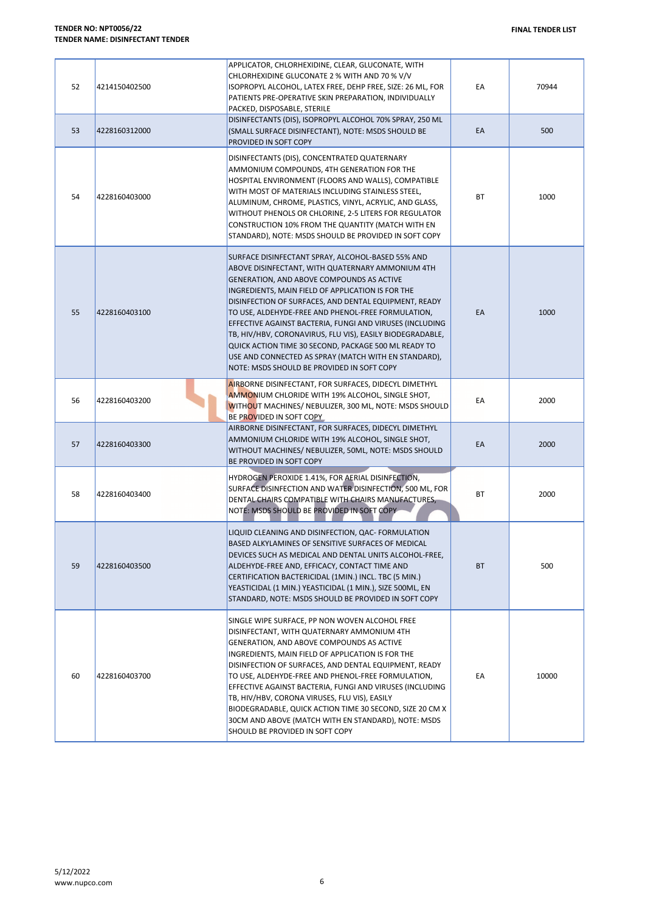| 52 | 4214150402500 | APPLICATOR, CHLORHEXIDINE, CLEAR, GLUCONATE, WITH<br>CHLORHEXIDINE GLUCONATE 2 % WITH AND 70 % V/V<br>ISOPROPYL ALCOHOL, LATEX FREE, DEHP FREE, SIZE: 26 ML, FOR<br>PATIENTS PRE-OPERATIVE SKIN PREPARATION, INDIVIDUALLY<br>PACKED, DISPOSABLE, STERILE                                                                                                                                                                                                                                                                                                                                                      | EA | 70944 |
|----|---------------|---------------------------------------------------------------------------------------------------------------------------------------------------------------------------------------------------------------------------------------------------------------------------------------------------------------------------------------------------------------------------------------------------------------------------------------------------------------------------------------------------------------------------------------------------------------------------------------------------------------|----|-------|
| 53 | 4228160312000 | DISINFECTANTS (DIS), ISOPROPYL ALCOHOL 70% SPRAY, 250 ML<br>(SMALL SURFACE DISINFECTANT), NOTE: MSDS SHOULD BE<br>PROVIDED IN SOFT COPY                                                                                                                                                                                                                                                                                                                                                                                                                                                                       | EA | 500   |
| 54 | 4228160403000 | DISINFECTANTS (DIS), CONCENTRATED QUATERNARY<br>AMMONIUM COMPOUNDS, 4TH GENERATION FOR THE<br>HOSPITAL ENVIRONMENT (FLOORS AND WALLS), COMPATIBLE<br>WITH MOST OF MATERIALS INCLUDING STAINLESS STEEL,<br>ALUMINUM, CHROME, PLASTICS, VINYL, ACRYLIC, AND GLASS,<br>WITHOUT PHENOLS OR CHLORINE, 2-5 LITERS FOR REGULATOR<br>CONSTRUCTION 10% FROM THE QUANTITY (MATCH WITH EN<br>STANDARD), NOTE: MSDS SHOULD BE PROVIDED IN SOFT COPY                                                                                                                                                                       | ВT | 1000  |
| 55 | 4228160403100 | SURFACE DISINFECTANT SPRAY, ALCOHOL-BASED 55% AND<br>ABOVE DISINFECTANT, WITH QUATERNARY AMMONIUM 4TH<br>GENERATION, AND ABOVE COMPOUNDS AS ACTIVE<br>INGREDIENTS, MAIN FIELD OF APPLICATION IS FOR THE<br>DISINFECTION OF SURFACES, AND DENTAL EQUIPMENT, READY<br>TO USE, ALDEHYDE-FREE AND PHENOL-FREE FORMULATION,<br>EFFECTIVE AGAINST BACTERIA, FUNGI AND VIRUSES (INCLUDING<br>TB, HIV/HBV, CORONAVIRUS, FLU VIS), EASILY BIODEGRADABLE,<br>QUICK ACTION TIME 30 SECOND, PACKAGE 500 ML READY TO<br>USE AND CONNECTED AS SPRAY (MATCH WITH EN STANDARD),<br>NOTE: MSDS SHOULD BE PROVIDED IN SOFT COPY | EA | 1000  |
| 56 | 4228160403200 | AIRBORNE DISINFECTANT, FOR SURFACES, DIDECYL DIMETHYL<br>AMMONIUM CHLORIDE WITH 19% ALCOHOL, SINGLE SHOT,<br>WITHOUT MACHINES/ NEBULIZER, 300 ML, NOTE: MSDS SHOULD<br>BE PROVIDED IN SOFT COPY                                                                                                                                                                                                                                                                                                                                                                                                               | EA | 2000  |
| 57 | 4228160403300 | AIRBORNE DISINFECTANT, FOR SURFACES, DIDECYL DIMETHYL<br>AMMONIUM CHLORIDE WITH 19% ALCOHOL, SINGLE SHOT,<br>WITHOUT MACHINES/ NEBULIZER, 50ML, NOTE: MSDS SHOULD<br>BE PROVIDED IN SOFT COPY                                                                                                                                                                                                                                                                                                                                                                                                                 | EA | 2000  |
| 58 | 4228160403400 | HYDROGEN PEROXIDE 1.41%, FOR AERIAL DISINFECTION,<br>SURFACE DISINFECTION AND WATER DISINFECTION, 500 ML, FOR<br>DENTAL CHAIRS COMPATIBLE WITH CHAIRS MANUFACTURES,<br>NOTE: MSDS SHOULD BE PROVIDED IN SOFT COPY                                                                                                                                                                                                                                                                                                                                                                                             | ВT | 2000  |
| 59 | 4228160403500 | LIQUID CLEANING AND DISINFECTION, QAC- FORMULATION<br>BASED ALKYLAMINES OF SENSITIVE SURFACES OF MEDICAL<br>DEVICES SUCH AS MEDICAL AND DENTAL UNITS ALCOHOL-FREE,<br>ALDEHYDE-FREE AND, EFFICACY, CONTACT TIME AND<br>CERTIFICATION BACTERICIDAL (1MIN.) INCL. TBC (5 MIN.)<br>YEASTICIDAL (1 MIN.) YEASTICIDAL (1 MIN.), SIZE 500ML, EN<br>STANDARD, NOTE: MSDS SHOULD BE PROVIDED IN SOFT COPY                                                                                                                                                                                                             | BT | 500   |
| 60 | 4228160403700 | SINGLE WIPE SURFACE, PP NON WOVEN ALCOHOL FREE<br>DISINFECTANT, WITH QUATERNARY AMMONIUM 4TH<br>GENERATION, AND ABOVE COMPOUNDS AS ACTIVE<br>INGREDIENTS, MAIN FIELD OF APPLICATION IS FOR THE<br>DISINFECTION OF SURFACES, AND DENTAL EQUIPMENT, READY<br>TO USE, ALDEHYDE-FREE AND PHENOL-FREE FORMULATION,<br>EFFECTIVE AGAINST BACTERIA, FUNGI AND VIRUSES (INCLUDING<br>TB, HIV/HBV, CORONA VIRUSES, FLU VIS), EASILY<br>BIODEGRADABLE, QUICK ACTION TIME 30 SECOND, SIZE 20 CM X<br>30CM AND ABOVE (MATCH WITH EN STANDARD), NOTE: MSDS<br>SHOULD BE PROVIDED IN SOFT COPY                              | EA | 10000 |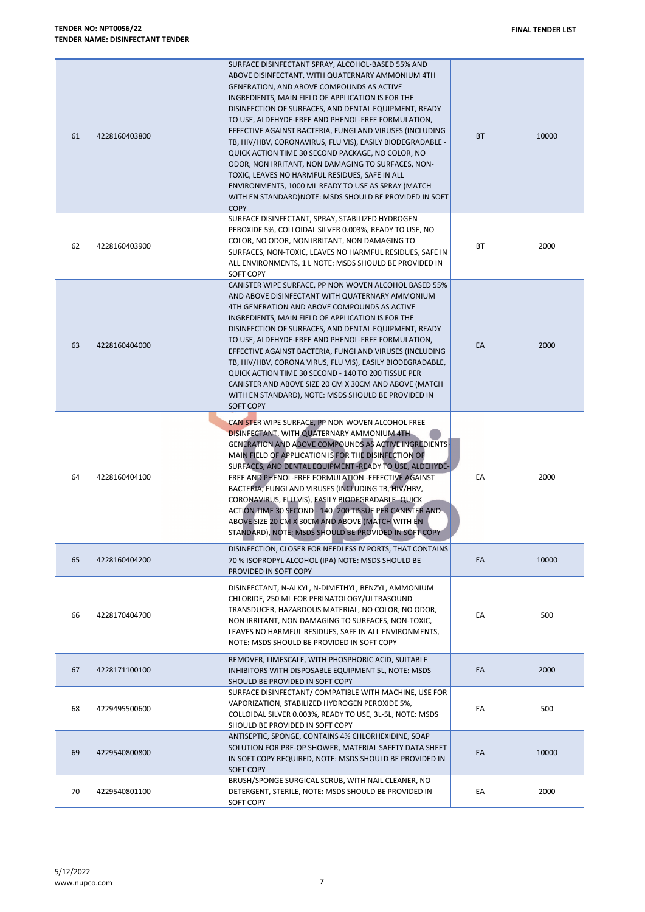| 61 | 4228160403800 | SURFACE DISINFECTANT SPRAY, ALCOHOL-BASED 55% AND<br>ABOVE DISINFECTANT, WITH QUATERNARY AMMONIUM 4TH<br>GENERATION, AND ABOVE COMPOUNDS AS ACTIVE<br>INGREDIENTS, MAIN FIELD OF APPLICATION IS FOR THE<br>DISINFECTION OF SURFACES, AND DENTAL EQUIPMENT, READY<br>TO USE, ALDEHYDE-FREE AND PHENOL-FREE FORMULATION,<br>EFFECTIVE AGAINST BACTERIA, FUNGI AND VIRUSES (INCLUDING<br>TB, HIV/HBV, CORONAVIRUS, FLU VIS), EASILY BIODEGRADABLE -<br>QUICK ACTION TIME 30 SECOND PACKAGE, NO COLOR, NO<br>ODOR, NON IRRITANT, NON DAMAGING TO SURFACES, NON-<br>TOXIC, LEAVES NO HARMFUL RESIDUES, SAFE IN ALL<br>ENVIRONMENTS, 1000 ML READY TO USE AS SPRAY (MATCH<br>WITH EN STANDARD) NOTE: MSDS SHOULD BE PROVIDED IN SOFT<br><b>COPY</b> | BT | 10000 |
|----|---------------|-----------------------------------------------------------------------------------------------------------------------------------------------------------------------------------------------------------------------------------------------------------------------------------------------------------------------------------------------------------------------------------------------------------------------------------------------------------------------------------------------------------------------------------------------------------------------------------------------------------------------------------------------------------------------------------------------------------------------------------------------|----|-------|
| 62 | 4228160403900 | SURFACE DISINFECTANT, SPRAY, STABILIZED HYDROGEN<br>PEROXIDE 5%, COLLOIDAL SILVER 0.003%, READY TO USE, NO<br>COLOR, NO ODOR, NON IRRITANT, NON DAMAGING TO<br>SURFACES, NON-TOXIC, LEAVES NO HARMFUL RESIDUES, SAFE IN<br>ALL ENVIRONMENTS, 1 L NOTE: MSDS SHOULD BE PROVIDED IN<br>SOFT COPY                                                                                                                                                                                                                                                                                                                                                                                                                                                | ВT | 2000  |
| 63 | 4228160404000 | CANISTER WIPE SURFACE, PP NON WOVEN ALCOHOL BASED 55%<br>AND ABOVE DISINFECTANT WITH QUATERNARY AMMONIUM<br>4TH GENERATION AND ABOVE COMPOUNDS AS ACTIVE<br>INGREDIENTS, MAIN FIELD OF APPLICATION IS FOR THE<br>DISINFECTION OF SURFACES, AND DENTAL EQUIPMENT, READY<br>TO USE, ALDEHYDE-FREE AND PHENOL-FREE FORMULATION,<br>EFFECTIVE AGAINST BACTERIA, FUNGI AND VIRUSES (INCLUDING<br>TB, HIV/HBV, CORONA VIRUS, FLU VIS), EASILY BIODEGRADABLE,<br>QUICK ACTION TIME 30 SECOND - 140 TO 200 TISSUE PER<br>CANISTER AND ABOVE SIZE 20 CM X 30CM AND ABOVE (MATCH<br>WITH EN STANDARD), NOTE: MSDS SHOULD BE PROVIDED IN<br><b>SOFT COPY</b>                                                                                             | EA | 2000  |
| 64 | 4228160404100 | CANISTER WIPE SURFACE, PP NON WOVEN ALCOHOL FREE<br>DISINFECTANT, WITH QUATERNARY AMMONIUM 4TH<br><b>GENERATION AND ABOVE COMPOUNDS AS ACTIVE INGREDIENTS-</b><br>MAIN FIELD OF APPLICATION IS FOR THE DISINFECTION OF<br>SURFACES, AND DENTAL EQUIPMENT - READY TO USE, ALDEHYDE-<br>FREE AND PHENOL-FREE FORMULATION - EFFECTIVE AGAINST<br>BACTERIA, FUNGI AND VIRUSES (INCLUDING TB, HIV/HBV,<br>CORONAVIRUS, FLU VIS), EASILY BIODEGRADABLE - QUICK<br>ACTION TIME 30 SECOND - 140-200 TISSUE PER CANISTER AND<br>ABOVE SIZE 20 CM X 30CM AND ABOVE (MATCH WITH EN<br>STANDARD), NOTE: MSDS SHOULD BE PROVIDED IN SOFT COPY                                                                                                              | EA | 2000  |
| 65 | 4228160404200 | DISINFECTION, CLOSER FOR NEEDLESS IV PORTS, THAT CONTAINS<br>70 % ISOPROPYL ALCOHOL (IPA) NOTE: MSDS SHOULD BE<br>PROVIDED IN SOFT COPY                                                                                                                                                                                                                                                                                                                                                                                                                                                                                                                                                                                                       | EA | 10000 |
| 66 | 4228170404700 | DISINFECTANT, N-ALKYL, N-DIMETHYL, BENZYL, AMMONIUM<br>CHLORIDE, 250 ML FOR PERINATOLOGY/ULTRASOUND<br>TRANSDUCER, HAZARDOUS MATERIAL, NO COLOR, NO ODOR,<br>NON IRRITANT, NON DAMAGING TO SURFACES, NON-TOXIC,<br>LEAVES NO HARMFUL RESIDUES, SAFE IN ALL ENVIRONMENTS,<br>NOTE: MSDS SHOULD BE PROVIDED IN SOFT COPY                                                                                                                                                                                                                                                                                                                                                                                                                        | EA | 500   |
| 67 | 4228171100100 | REMOVER, LIMESCALE, WITH PHOSPHORIC ACID, SUITABLE<br>INHIBITORS WITH DISPOSABLE EQUIPMENT 5L, NOTE: MSDS<br>SHOULD BE PROVIDED IN SOFT COPY                                                                                                                                                                                                                                                                                                                                                                                                                                                                                                                                                                                                  | EA | 2000  |
| 68 | 4229495500600 | SURFACE DISINFECTANT/ COMPATIBLE WITH MACHINE, USE FOR<br>VAPORIZATION, STABILIZED HYDROGEN PEROXIDE 5%,<br>COLLOIDAL SILVER 0.003%, READY TO USE, 3L-5L, NOTE: MSDS<br>SHOULD BE PROVIDED IN SOFT COPY                                                                                                                                                                                                                                                                                                                                                                                                                                                                                                                                       | EA | 500   |
| 69 | 4229540800800 | ANTISEPTIC, SPONGE, CONTAINS 4% CHLORHEXIDINE, SOAP<br>SOLUTION FOR PRE-OP SHOWER, MATERIAL SAFETY DATA SHEET<br>IN SOFT COPY REQUIRED, NOTE: MSDS SHOULD BE PROVIDED IN<br><b>SOFT COPY</b>                                                                                                                                                                                                                                                                                                                                                                                                                                                                                                                                                  | EA | 10000 |
| 70 | 4229540801100 | BRUSH/SPONGE SURGICAL SCRUB, WITH NAIL CLEANER, NO<br>DETERGENT, STERILE, NOTE: MSDS SHOULD BE PROVIDED IN<br>SOFT COPY                                                                                                                                                                                                                                                                                                                                                                                                                                                                                                                                                                                                                       | EA | 2000  |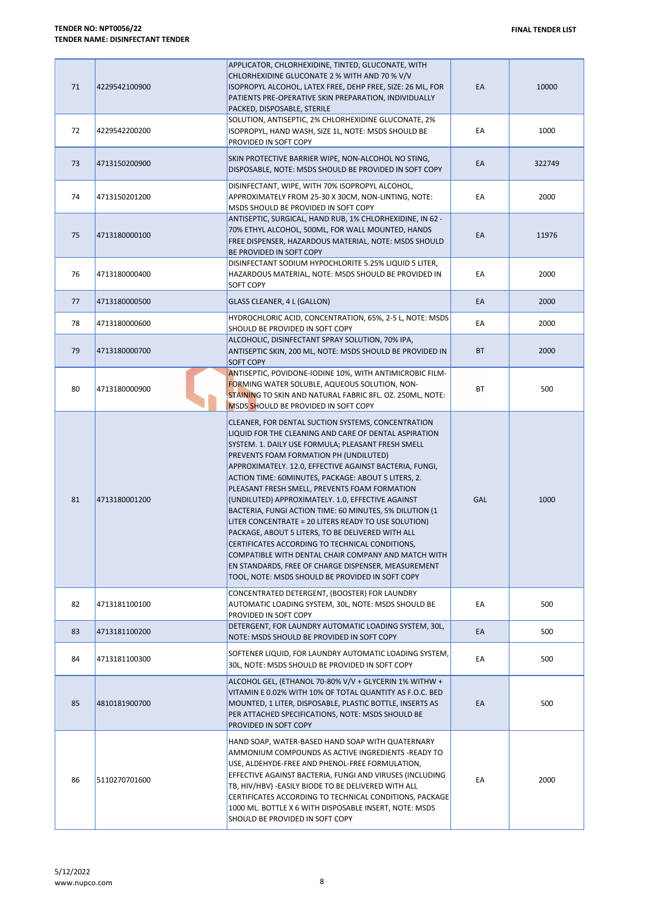| 71 | 4229542100900 | APPLICATOR, CHLORHEXIDINE, TINTED, GLUCONATE, WITH<br>CHLORHEXIDINE GLUCONATE 2 % WITH AND 70 % V/V<br>ISOPROPYL ALCOHOL, LATEX FREE, DEHP FREE, SIZE: 26 ML, FOR<br>PATIENTS PRE-OPERATIVE SKIN PREPARATION, INDIVIDUALLY<br>PACKED, DISPOSABLE, STERILE                                                                                                                                                                                                                                                                                                                                                                                                                                                                                                                                                                        | EA        | 10000  |
|----|---------------|----------------------------------------------------------------------------------------------------------------------------------------------------------------------------------------------------------------------------------------------------------------------------------------------------------------------------------------------------------------------------------------------------------------------------------------------------------------------------------------------------------------------------------------------------------------------------------------------------------------------------------------------------------------------------------------------------------------------------------------------------------------------------------------------------------------------------------|-----------|--------|
| 72 | 4229542200200 | SOLUTION, ANTISEPTIC, 2% CHLORHEXIDINE GLUCONATE, 2%<br>ISOPROPYL, HAND WASH, SIZE 1L, NOTE: MSDS SHOULD BE<br>PROVIDED IN SOFT COPY                                                                                                                                                                                                                                                                                                                                                                                                                                                                                                                                                                                                                                                                                             | ЕA        | 1000   |
| 73 | 4713150200900 | SKIN PROTECTIVE BARRIER WIPE, NON-ALCOHOL NO STING,<br>DISPOSABLE, NOTE: MSDS SHOULD BE PROVIDED IN SOFT COPY                                                                                                                                                                                                                                                                                                                                                                                                                                                                                                                                                                                                                                                                                                                    | EA        | 322749 |
| 74 | 4713150201200 | DISINFECTANT, WIPE, WITH 70% ISOPROPYL ALCOHOL,<br>APPROXIMATELY FROM 25-30 X 30CM, NON-LINTING, NOTE:<br>MSDS SHOULD BE PROVIDED IN SOFT COPY                                                                                                                                                                                                                                                                                                                                                                                                                                                                                                                                                                                                                                                                                   | ЕA        | 2000   |
| 75 | 4713180000100 | ANTISEPTIC, SURGICAL, HAND RUB, 1% CHLORHEXIDINE, IN 62 -<br>70% ETHYL ALCOHOL, 500ML, FOR WALL MOUNTED, HANDS<br>FREE DISPENSER, HAZARDOUS MATERIAL, NOTE: MSDS SHOULD<br>BE PROVIDED IN SOFT COPY                                                                                                                                                                                                                                                                                                                                                                                                                                                                                                                                                                                                                              | EA        | 11976  |
| 76 | 4713180000400 | DISINFECTANT SODIUM HYPOCHLORITE 5.25% LIQUID 5 LITER,<br>HAZARDOUS MATERIAL, NOTE: MSDS SHOULD BE PROVIDED IN<br>SOFT COPY                                                                                                                                                                                                                                                                                                                                                                                                                                                                                                                                                                                                                                                                                                      | ЕA        | 2000   |
| 77 | 4713180000500 | GLASS CLEANER, 4 L (GALLON)                                                                                                                                                                                                                                                                                                                                                                                                                                                                                                                                                                                                                                                                                                                                                                                                      | EA        | 2000   |
| 78 | 4713180000600 | HYDROCHLORIC ACID, CONCENTRATION, 65%, 2-5 L, NOTE: MSDS<br>SHOULD BE PROVIDED IN SOFT COPY                                                                                                                                                                                                                                                                                                                                                                                                                                                                                                                                                                                                                                                                                                                                      | EA        | 2000   |
| 79 | 4713180000700 | ALCOHOLIC, DISINFECTANT SPRAY SOLUTION, 70% IPA,<br>ANTISEPTIC SKIN, 200 ML, NOTE: MSDS SHOULD BE PROVIDED IN<br><b>SOFT COPY</b>                                                                                                                                                                                                                                                                                                                                                                                                                                                                                                                                                                                                                                                                                                | <b>BT</b> | 2000   |
| 80 | 4713180000900 | ANTISEPTIC, POVIDONE-IODINE 10%, WITH ANTIMICROBIC FILM-<br>FORMING WATER SOLUBLE, AQUEOUS SOLUTION, NON-<br>STAINING TO SKIN AND NATURAL FABRIC 8FL. OZ. 250ML, NOTE:<br>MSDS SHOULD BE PROVIDED IN SOFT COPY                                                                                                                                                                                                                                                                                                                                                                                                                                                                                                                                                                                                                   | ВT        | 500    |
| 81 | 4713180001200 | CLEANER, FOR DENTAL SUCTION SYSTEMS, CONCENTRATION<br>LIQUID FOR THE CLEANING AND CARE OF DENTAL ASPIRATION<br>SYSTEM. 1. DAILY USE FORMULA; PLEASANT FRESH SMELL<br>PREVENTS FOAM FORMATION PH (UNDILUTED)<br>APPROXIMATELY. 12.0, EFFECTIVE AGAINST BACTERIA, FUNGI,<br>ACTION TIME: 60MINUTES, PACKAGE: ABOUT 5 LITERS, 2.<br>PLEASANT FRESH SMELL, PREVENTS FOAM FORMATION<br>(UNDILUTED) APPROXIMATELY. 1.0, EFFECTIVE AGAINST<br>BACTERIA, FUNGI ACTION TIME: 60 MINUTES, 5% DILUTION (1<br>LITER CONCENTRATE = 20 LITERS READY TO USE SOLUTION)<br>PACKAGE, ABOUT 5 LITERS, TO BE DELIVERED WITH ALL<br>CERTIFICATES ACCORDING TO TECHNICAL CONDITIONS,<br>COMPATIBLE WITH DENTAL CHAIR COMPANY AND MATCH WITH<br>EN STANDARDS, FREE OF CHARGE DISPENSER, MEASUREMENT<br>TOOL, NOTE: MSDS SHOULD BE PROVIDED IN SOFT COPY | GAL       | 1000   |
| 82 | 4713181100100 | CONCENTRATED DETERGENT, (BOOSTER) FOR LAUNDRY<br>AUTOMATIC LOADING SYSTEM, 30L, NOTE: MSDS SHOULD BE<br>PROVIDED IN SOFT COPY                                                                                                                                                                                                                                                                                                                                                                                                                                                                                                                                                                                                                                                                                                    | EA        | 500    |
| 83 | 4713181100200 | DETERGENT, FOR LAUNDRY AUTOMATIC LOADING SYSTEM, 30L,<br>NOTE: MSDS SHOULD BE PROVIDED IN SOFT COPY                                                                                                                                                                                                                                                                                                                                                                                                                                                                                                                                                                                                                                                                                                                              | EA        | 500    |
| 84 | 4713181100300 | SOFTENER LIQUID, FOR LAUNDRY AUTOMATIC LOADING SYSTEM,<br>30L, NOTE: MSDS SHOULD BE PROVIDED IN SOFT COPY                                                                                                                                                                                                                                                                                                                                                                                                                                                                                                                                                                                                                                                                                                                        | EA        | 500    |
| 85 | 4810181900700 | ALCOHOL GEL, (ETHANOL 70-80% V/V + GLYCERIN 1% WITHW +<br>VITAMIN E 0.02% WITH 10% OF TOTAL QUANTITY AS F.O.C. BED<br>MOUNTED, 1 LITER, DISPOSABLE, PLASTIC BOTTLE, INSERTS AS<br>PER ATTACHED SPECIFICATIONS, NOTE: MSDS SHOULD BE<br>PROVIDED IN SOFT COPY                                                                                                                                                                                                                                                                                                                                                                                                                                                                                                                                                                     | EA        | 500    |
| 86 | 5110270701600 | HAND SOAP, WATER-BASED HAND SOAP WITH QUATERNARY<br>AMMONIUM COMPOUNDS AS ACTIVE INGREDIENTS -READY TO<br>USE, ALDEHYDE-FREE AND PHENOL-FREE FORMULATION,<br>EFFECTIVE AGAINST BACTERIA, FUNGI AND VIRUSES (INCLUDING<br>TB, HIV/HBV) - EASILY BIODE TO BE DELIVERED WITH ALL<br>CERTIFICATES ACCORDING TO TECHNICAL CONDITIONS, PACKAGE<br>1000 ML. BOTTLE X 6 WITH DISPOSABLE INSERT, NOTE: MSDS<br>SHOULD BE PROVIDED IN SOFT COPY                                                                                                                                                                                                                                                                                                                                                                                            | EA        | 2000   |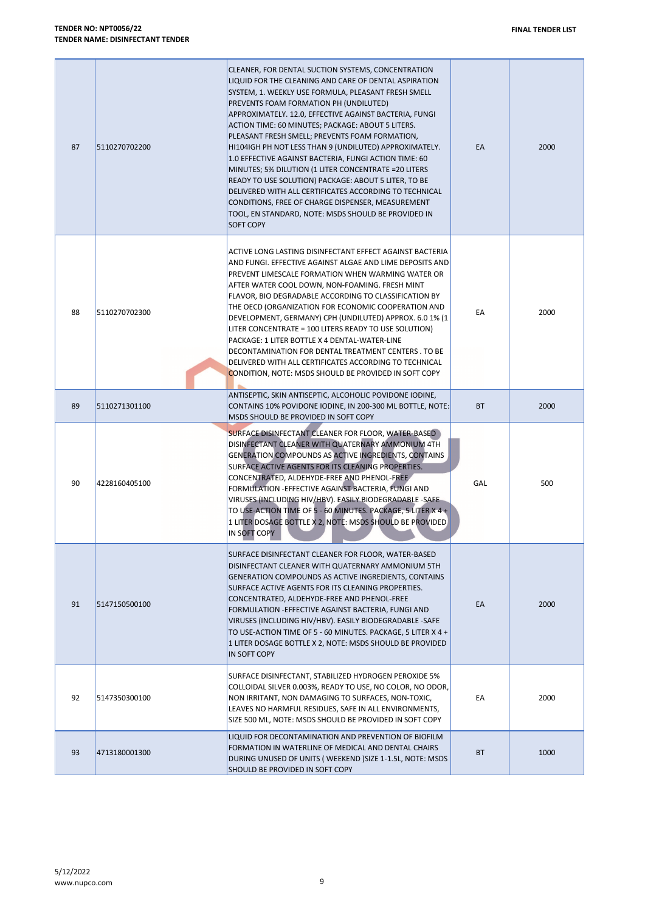| 87 | 5110270702200 | CLEANER, FOR DENTAL SUCTION SYSTEMS, CONCENTRATION<br>LIQUID FOR THE CLEANING AND CARE OF DENTAL ASPIRATION<br>SYSTEM, 1. WEEKLY USE FORMULA, PLEASANT FRESH SMELL<br>PREVENTS FOAM FORMATION PH (UNDILUTED)<br>APPROXIMATELY. 12.0, EFFECTIVE AGAINST BACTERIA, FUNGI<br>ACTION TIME: 60 MINUTES; PACKAGE: ABOUT 5 LITERS.<br>PLEASANT FRESH SMELL; PREVENTS FOAM FORMATION,<br>HI104IGH PH NOT LESS THAN 9 (UNDILUTED) APPROXIMATELY.<br>1.0 EFFECTIVE AGAINST BACTERIA, FUNGI ACTION TIME: 60<br>MINUTES; 5% DILUTION (1 LITER CONCENTRATE = 20 LITERS<br>READY TO USE SOLUTION) PACKAGE: ABOUT 5 LITER, TO BE<br>DELIVERED WITH ALL CERTIFICATES ACCORDING TO TECHNICAL<br>CONDITIONS, FREE OF CHARGE DISPENSER, MEASUREMENT | EA        | 2000 |
|----|---------------|----------------------------------------------------------------------------------------------------------------------------------------------------------------------------------------------------------------------------------------------------------------------------------------------------------------------------------------------------------------------------------------------------------------------------------------------------------------------------------------------------------------------------------------------------------------------------------------------------------------------------------------------------------------------------------------------------------------------------------|-----------|------|
|    |               | TOOL, EN STANDARD, NOTE: MSDS SHOULD BE PROVIDED IN<br><b>SOFT COPY</b>                                                                                                                                                                                                                                                                                                                                                                                                                                                                                                                                                                                                                                                          |           |      |
| 88 | 5110270702300 | ACTIVE LONG LASTING DISINFECTANT EFFECT AGAINST BACTERIA<br>AND FUNGI. EFFECTIVE AGAINST ALGAE AND LIME DEPOSITS AND<br>PREVENT LIMESCALE FORMATION WHEN WARMING WATER OR<br>AFTER WATER COOL DOWN, NON-FOAMING. FRESH MINT<br>FLAVOR, BIO DEGRADABLE ACCORDING TO CLASSIFICATION BY<br>THE OECD (ORGANIZATION FOR ECONOMIC COOPERATION AND<br>DEVELOPMENT, GERMANY) CPH (UNDILUTED) APPROX. 6.0 1% (1<br>LITER CONCENTRATE = 100 LITERS READY TO USE SOLUTION)<br>PACKAGE: 1 LITER BOTTLE X 4 DENTAL-WATER-LINE<br>DECONTAMINATION FOR DENTAL TREATMENT CENTERS. TO BE<br>DELIVERED WITH ALL CERTIFICATES ACCORDING TO TECHNICAL<br>CONDITION, NOTE: MSDS SHOULD BE PROVIDED IN SOFT COPY                                       | ЕA        | 2000 |
| 89 | 5110271301100 | ANTISEPTIC, SKIN ANTISEPTIC, ALCOHOLIC POVIDONE IODINE,<br>CONTAINS 10% POVIDONE IODINE, IN 200-300 ML BOTTLE, NOTE:<br>MSDS SHOULD BE PROVIDED IN SOFT COPY                                                                                                                                                                                                                                                                                                                                                                                                                                                                                                                                                                     | <b>BT</b> | 2000 |
| 90 | 4228160405100 | SURFACE DISINFECTANT CLEANER FOR FLOOR, WATER-BASED<br>DISINFECTANT CLEANER WITH QUATERNARY AMMONIUM 4TH<br>GENERATION COMPOUNDS AS ACTIVE INGREDIENTS, CONTAINS<br>SURFACE ACTIVE AGENTS FOR ITS CLEANING PROPERTIES.<br>CONCENTRATED, ALDEHYDE-FREE AND PHENOL-FREE<br>FORMULATION - EFFECTIVE AGAINST BACTERIA, FUNGI AND<br>VIRUSES (INCLUDING HIV/HBV). EASILY BIODEGRADABLE -SAFE-<br>TO USE-ACTION TIME OF 5 - 60 MINUTES. PACKAGE, 5 LITER X 4 +<br>1 LITER DOSAGE BOTTLE X 2, NOTE: MSDS SHOULD BE PROVIDED<br>IN SOFT COPY                                                                                                                                                                                             | GAL       | 500  |
| 91 | 5147150500100 | SURFACE DISINFECTANT CLEANER FOR FLOOR, WATER-BASED<br>DISINFECTANT CLEANER WITH QUATERNARY AMMONIUM 5TH<br>GENERATION COMPOUNDS AS ACTIVE INGREDIENTS, CONTAINS<br>SURFACE ACTIVE AGENTS FOR ITS CLEANING PROPERTIES.<br>CONCENTRATED, ALDEHYDE-FREE AND PHENOL-FREE<br>FORMULATION - EFFECTIVE AGAINST BACTERIA, FUNGI AND<br>VIRUSES (INCLUDING HIV/HBV). EASILY BIODEGRADABLE -SAFE<br>TO USE-ACTION TIME OF 5 - 60 MINUTES. PACKAGE, 5 LITER X 4 +<br>1 LITER DOSAGE BOTTLE X 2, NOTE: MSDS SHOULD BE PROVIDED<br>IN SOFT COPY                                                                                                                                                                                              | EA        | 2000 |
| 92 | 5147350300100 | SURFACE DISINFECTANT, STABILIZED HYDROGEN PEROXIDE 5%<br>COLLOIDAL SILVER 0.003%, READY TO USE, NO COLOR, NO ODOR,<br>NON IRRITANT, NON DAMAGING TO SURFACES, NON-TOXIC,<br>LEAVES NO HARMFUL RESIDUES, SAFE IN ALL ENVIRONMENTS,<br>SIZE 500 ML, NOTE: MSDS SHOULD BE PROVIDED IN SOFT COPY                                                                                                                                                                                                                                                                                                                                                                                                                                     | EA        | 2000 |
| 93 | 4713180001300 | LIQUID FOR DECONTAMINATION AND PREVENTION OF BIOFILM<br>FORMATION IN WATERLINE OF MEDICAL AND DENTAL CHAIRS<br>DURING UNUSED OF UNITS (WEEKEND ) SIZE 1-1.5L, NOTE: MSDS<br>SHOULD BE PROVIDED IN SOFT COPY                                                                                                                                                                                                                                                                                                                                                                                                                                                                                                                      | BT        | 1000 |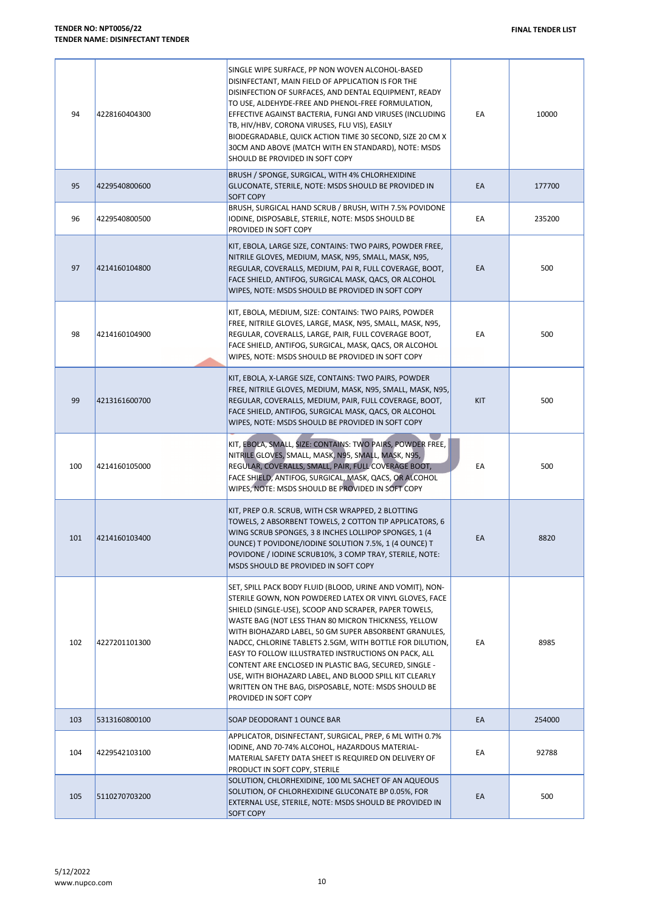| 94  | 4228160404300 | SINGLE WIPE SURFACE, PP NON WOVEN ALCOHOL-BASED<br>DISINFECTANT, MAIN FIELD OF APPLICATION IS FOR THE<br>DISINFECTION OF SURFACES, AND DENTAL EQUIPMENT, READY<br>TO USE, ALDEHYDE-FREE AND PHENOL-FREE FORMULATION,<br>EFFECTIVE AGAINST BACTERIA, FUNGI AND VIRUSES (INCLUDING<br>TB, HIV/HBV, CORONA VIRUSES, FLU VIS), EASILY<br>BIODEGRADABLE, QUICK ACTION TIME 30 SECOND, SIZE 20 CM X<br>30CM AND ABOVE (MATCH WITH EN STANDARD), NOTE: MSDS<br>SHOULD BE PROVIDED IN SOFT COPY                                                                                                                                | EA         | 10000  |
|-----|---------------|------------------------------------------------------------------------------------------------------------------------------------------------------------------------------------------------------------------------------------------------------------------------------------------------------------------------------------------------------------------------------------------------------------------------------------------------------------------------------------------------------------------------------------------------------------------------------------------------------------------------|------------|--------|
| 95  | 4229540800600 | BRUSH / SPONGE, SURGICAL, WITH 4% CHLORHEXIDINE<br>GLUCONATE, STERILE, NOTE: MSDS SHOULD BE PROVIDED IN<br><b>SOFT COPY</b>                                                                                                                                                                                                                                                                                                                                                                                                                                                                                            | EA         | 177700 |
| 96  | 4229540800500 | BRUSH, SURGICAL HAND SCRUB / BRUSH, WITH 7.5% POVIDONE<br>IODINE, DISPOSABLE, STERILE, NOTE: MSDS SHOULD BE<br>PROVIDED IN SOFT COPY                                                                                                                                                                                                                                                                                                                                                                                                                                                                                   | EA         | 235200 |
| 97  | 4214160104800 | KIT, EBOLA, LARGE SIZE, CONTAINS: TWO PAIRS, POWDER FREE,<br>NITRILE GLOVES, MEDIUM, MASK, N95, SMALL, MASK, N95,<br>REGULAR, COVERALLS, MEDIUM, PAI R, FULL COVERAGE, BOOT,<br>FACE SHIELD, ANTIFOG, SURGICAL MASK, QACS, OR ALCOHOL<br>WIPES, NOTE: MSDS SHOULD BE PROVIDED IN SOFT COPY                                                                                                                                                                                                                                                                                                                             | EA         | 500    |
| 98  | 4214160104900 | KIT, EBOLA, MEDIUM, SIZE: CONTAINS: TWO PAIRS, POWDER<br>FREE, NITRILE GLOVES, LARGE, MASK, N95, SMALL, MASK, N95,<br>REGULAR, COVERALLS, LARGE, PAIR, FULL COVERAGE BOOT,<br>FACE SHIELD, ANTIFOG, SURGICAL, MASK, QACS, OR ALCOHOL<br>WIPES, NOTE: MSDS SHOULD BE PROVIDED IN SOFT COPY                                                                                                                                                                                                                                                                                                                              | EA         | 500    |
| 99  | 4213161600700 | KIT, EBOLA, X-LARGE SIZE, CONTAINS: TWO PAIRS, POWDER<br>FREE, NITRILE GLOVES, MEDIUM, MASK, N95, SMALL, MASK, N95,<br>REGULAR, COVERALLS, MEDIUM, PAIR, FULL COVERAGE, BOOT,<br>FACE SHIELD, ANTIFOG, SURGICAL MASK, QACS, OR ALCOHOL<br>WIPES, NOTE: MSDS SHOULD BE PROVIDED IN SOFT COPY                                                                                                                                                                                                                                                                                                                            | <b>KIT</b> | 500    |
| 100 | 4214160105000 | KIT, EBOLA, SMALL, SIZE: CONTAINS: TWO PAIRS, POWDER FREE,<br>NITRILE GLOVES, SMALL, MASK, N95, SMALL, MASK, N95,<br>REGULAR, COVERALLS, SMALL, PAIR, FULL COVERAGE BOOT,<br>FACE SHIELD, ANTIFOG, SURGICAL, MASK, QACS, OR ALCOHOL<br>WIPES, NOTE: MSDS SHOULD BE PROVIDED IN SOFT COPY                                                                                                                                                                                                                                                                                                                               | EA         | 500    |
| 101 | 4214160103400 | KIT, PREP O.R. SCRUB, WITH CSR WRAPPED, 2 BLOTTING<br>TOWELS, 2 ABSORBENT TOWELS, 2 COTTON TIP APPLICATORS, 6<br>WING SCRUB SPONGES, 3 8 INCHES LOLLIPOP SPONGES, 1 (4)<br>OUNCE) T POVIDONE/IODINE SOLUTION 7.5%, 1 (4 OUNCE) T<br>POVIDONE / IODINE SCRUB10%, 3 COMP TRAY, STERILE, NOTE:<br>MSDS SHOULD BE PROVIDED IN SOFT COPY                                                                                                                                                                                                                                                                                    | EA         | 8820   |
| 102 | 4227201101300 | SET, SPILL PACK BODY FLUID (BLOOD, URINE AND VOMIT), NON-<br>STERILE GOWN, NON POWDERED LATEX OR VINYL GLOVES, FACE<br>SHIELD (SINGLE-USE), SCOOP AND SCRAPER, PAPER TOWELS,<br>WASTE BAG (NOT LESS THAN 80 MICRON THICKNESS, YELLOW<br>WITH BIOHAZARD LABEL, 50 GM SUPER ABSORBENT GRANULES,<br>NADCC, CHLORINE TABLETS 2.5GM, WITH BOTTLE FOR DILUTION,<br>EASY TO FOLLOW ILLUSTRATED INSTRUCTIONS ON PACK, ALL<br>CONTENT ARE ENCLOSED IN PLASTIC BAG, SECURED, SINGLE -<br>USE, WITH BIOHAZARD LABEL, AND BLOOD SPILL KIT CLEARLY<br>WRITTEN ON THE BAG, DISPOSABLE, NOTE: MSDS SHOULD BE<br>PROVIDED IN SOFT COPY | EA         | 8985   |
| 103 | 5313160800100 | SOAP DEODORANT 1 OUNCE BAR                                                                                                                                                                                                                                                                                                                                                                                                                                                                                                                                                                                             | EA         | 254000 |
| 104 | 4229542103100 | APPLICATOR, DISINFECTANT, SURGICAL, PREP, 6 ML WITH 0.7%<br>IODINE, AND 70-74% ALCOHOL, HAZARDOUS MATERIAL-<br>MATERIAL SAFETY DATA SHEET IS REQUIRED ON DELIVERY OF<br>PRODUCT IN SOFT COPY, STERILE                                                                                                                                                                                                                                                                                                                                                                                                                  | EA         | 92788  |
| 105 | 5110270703200 | SOLUTION, CHLORHEXIDINE, 100 ML SACHET OF AN AQUEOUS<br>SOLUTION, OF CHLORHEXIDINE GLUCONATE BP 0.05%, FOR<br>EXTERNAL USE, STERILE, NOTE: MSDS SHOULD BE PROVIDED IN<br><b>SOFT COPY</b>                                                                                                                                                                                                                                                                                                                                                                                                                              | EA         | 500    |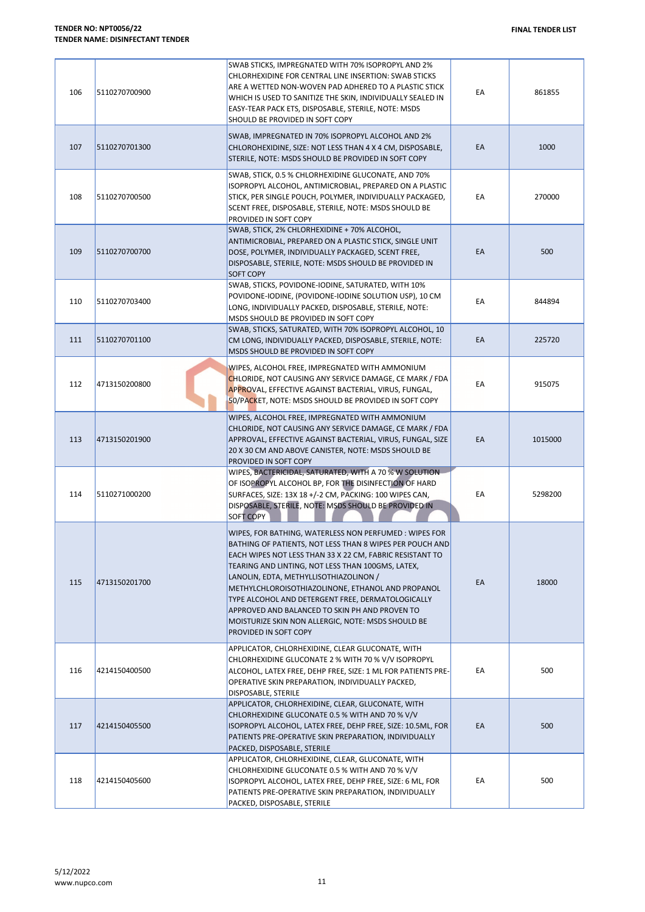| 106 | 5110270700900 | SWAB STICKS, IMPREGNATED WITH 70% ISOPROPYL AND 2%<br>CHLORHEXIDINE FOR CENTRAL LINE INSERTION: SWAB STICKS<br>ARE A WETTED NON-WOVEN PAD ADHERED TO A PLASTIC STICK<br>WHICH IS USED TO SANITIZE THE SKIN, INDIVIDUALLY SEALED IN<br>EASY-TEAR PACK ETS, DISPOSABLE, STERILE, NOTE: MSDS<br>SHOULD BE PROVIDED IN SOFT COPY                                                                                                                                                                                             | EA | 861855  |
|-----|---------------|--------------------------------------------------------------------------------------------------------------------------------------------------------------------------------------------------------------------------------------------------------------------------------------------------------------------------------------------------------------------------------------------------------------------------------------------------------------------------------------------------------------------------|----|---------|
| 107 | 5110270701300 | SWAB, IMPREGNATED IN 70% ISOPROPYL ALCOHOL AND 2%<br>CHLOROHEXIDINE, SIZE: NOT LESS THAN 4 X 4 CM, DISPOSABLE,<br>STERILE, NOTE: MSDS SHOULD BE PROVIDED IN SOFT COPY                                                                                                                                                                                                                                                                                                                                                    | EA | 1000    |
| 108 | 5110270700500 | SWAB, STICK, 0.5 % CHLORHEXIDINE GLUCONATE, AND 70%<br>ISOPROPYL ALCOHOL, ANTIMICROBIAL, PREPARED ON A PLASTIC<br>STICK, PER SINGLE POUCH, POLYMER, INDIVIDUALLY PACKAGED,<br>SCENT FREE, DISPOSABLE, STERILE, NOTE: MSDS SHOULD BE<br>PROVIDED IN SOFT COPY                                                                                                                                                                                                                                                             | EA | 270000  |
| 109 | 5110270700700 | SWAB, STICK, 2% CHLORHEXIDINE + 70% ALCOHOL,<br>ANTIMICROBIAL, PREPARED ON A PLASTIC STICK, SINGLE UNIT<br>DOSE, POLYMER, INDIVIDUALLY PACKAGED, SCENT FREE,<br>DISPOSABLE, STERILE, NOTE: MSDS SHOULD BE PROVIDED IN<br><b>SOFT COPY</b>                                                                                                                                                                                                                                                                                | EA | 500     |
| 110 | 5110270703400 | SWAB, STICKS, POVIDONE-IODINE, SATURATED, WITH 10%<br>POVIDONE-IODINE, (POVIDONE-IODINE SOLUTION USP), 10 CM<br>LONG, INDIVIDUALLY PACKED, DISPOSABLE, STERILE, NOTE:<br>MSDS SHOULD BE PROVIDED IN SOFT COPY                                                                                                                                                                                                                                                                                                            | EA | 844894  |
| 111 | 5110270701100 | SWAB, STICKS, SATURATED, WITH 70% ISOPROPYL ALCOHOL, 10<br>CM LONG, INDIVIDUALLY PACKED, DISPOSABLE, STERILE, NOTE:<br>MSDS SHOULD BE PROVIDED IN SOFT COPY                                                                                                                                                                                                                                                                                                                                                              | EA | 225720  |
| 112 | 4713150200800 | WIPES, ALCOHOL FREE, IMPREGNATED WITH AMMONIUM<br>CHLORIDE, NOT CAUSING ANY SERVICE DAMAGE, CE MARK / FDA<br>APPROVAL, EFFECTIVE AGAINST BACTERIAL, VIRUS, FUNGAL,<br>50/PACKET, NOTE: MSDS SHOULD BE PROVIDED IN SOFT COPY                                                                                                                                                                                                                                                                                              | EA | 915075  |
| 113 | 4713150201900 | WIPES, ALCOHOL FREE, IMPREGNATED WITH AMMONIUM<br>CHLORIDE, NOT CAUSING ANY SERVICE DAMAGE, CE MARK / FDA<br>APPROVAL, EFFECTIVE AGAINST BACTERIAL, VIRUS, FUNGAL, SIZE<br>20 X 30 CM AND ABOVE CANISTER, NOTE: MSDS SHOULD BE<br>PROVIDED IN SOFT COPY                                                                                                                                                                                                                                                                  | EA | 1015000 |
| 114 | 5110271000200 | WIPES, BACTERICIDAL, SATURATED, WITH A 70 % W SOLUTION<br>OF ISOPROPYL ALCOHOL BP, FOR THE DISINFECTION OF HARD<br>SURFACES, SIZE: 13X 18 +/-2 CM, PACKING: 100 WIPES CAN,<br>DISPOSABLE, STERILE, NOTE: MSDS SHOULD BE PROVIDED IN<br><b>SOFT COPY</b>                                                                                                                                                                                                                                                                  | EA | 5298200 |
| 115 | 4713150201700 | WIPES, FOR BATHING, WATERLESS NON PERFUMED : WIPES FOR<br>BATHING OF PATIENTS, NOT LESS THAN 8 WIPES PER POUCH AND<br>EACH WIPES NOT LESS THAN 33 X 22 CM, FABRIC RESISTANT TO<br>TEARING AND LINTING, NOT LESS THAN 100GMS, LATEX,<br>LANOLIN, EDTA, METHYLLISOTHIAZOLINON /<br>METHYLCHLOROISOTHIAZOLINONE, ETHANOL AND PROPANOL<br>TYPE ALCOHOL AND DETERGENT FREE, DERMATOLOGICALLY<br>APPROVED AND BALANCED TO SKIN PH AND PROVEN TO<br>MOISTURIZE SKIN NON ALLERGIC, NOTE: MSDS SHOULD BE<br>PROVIDED IN SOFT COPY | EA | 18000   |
| 116 | 4214150400500 | APPLICATOR, CHLORHEXIDINE, CLEAR GLUCONATE, WITH<br>CHLORHEXIDINE GLUCONATE 2 % WITH 70 % V/V ISOPROPYL<br>ALCOHOL, LATEX FREE, DEHP FREE, SIZE: 1 ML FOR PATIENTS PRE-<br>OPERATIVE SKIN PREPARATION, INDIVIDUALLY PACKED,<br>DISPOSABLE, STERILE                                                                                                                                                                                                                                                                       | EA | 500     |
| 117 | 4214150405500 | APPLICATOR, CHLORHEXIDINE, CLEAR, GLUCONATE, WITH<br>CHLORHEXIDINE GLUCONATE 0.5 % WITH AND 70 % V/V<br>ISOPROPYL ALCOHOL, LATEX FREE, DEHP FREE, SIZE: 10.5ML, FOR<br>PATIENTS PRE-OPERATIVE SKIN PREPARATION, INDIVIDUALLY<br>PACKED, DISPOSABLE, STERILE                                                                                                                                                                                                                                                              | EA | 500     |
| 118 | 4214150405600 | APPLICATOR, CHLORHEXIDINE, CLEAR, GLUCONATE, WITH<br>CHLORHEXIDINE GLUCONATE 0.5 % WITH AND 70 % V/V<br>ISOPROPYL ALCOHOL, LATEX FREE, DEHP FREE, SIZE: 6 ML, FOR<br>PATIENTS PRE-OPERATIVE SKIN PREPARATION, INDIVIDUALLY<br>PACKED, DISPOSABLE, STERILE                                                                                                                                                                                                                                                                | EA | 500     |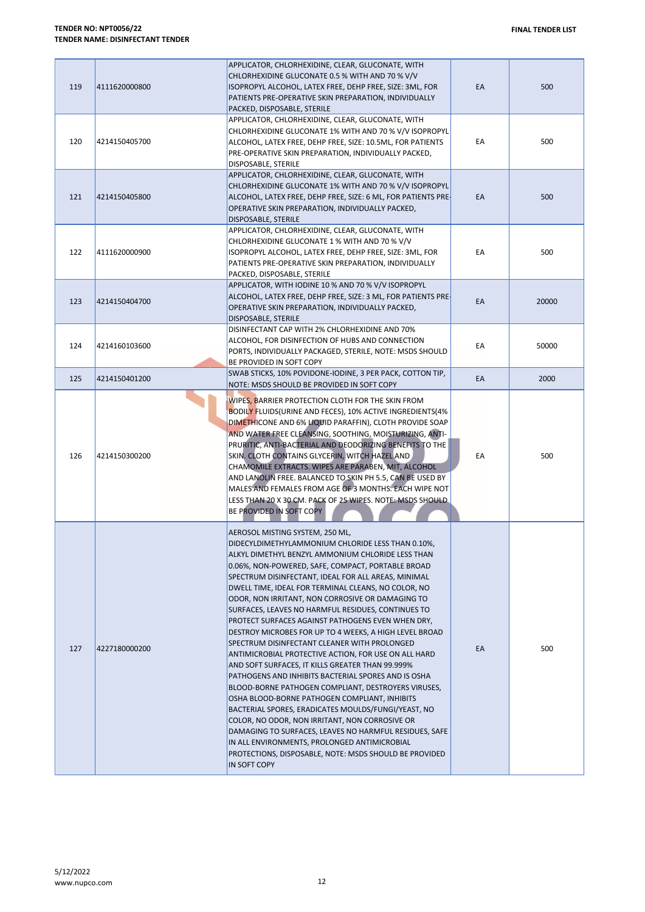| 119 | 4111620000800 | APPLICATOR, CHLORHEXIDINE, CLEAR, GLUCONATE, WITH<br>CHLORHEXIDINE GLUCONATE 0.5 % WITH AND 70 % V/V<br>ISOPROPYL ALCOHOL, LATEX FREE, DEHP FREE, SIZE: 3ML, FOR<br>PATIENTS PRE-OPERATIVE SKIN PREPARATION, INDIVIDUALLY<br>PACKED, DISPOSABLE, STERILE                                                                                                                                                                                                                                                                                                                                                                                                                                                                                                                                                                                                                                                                                                                                                                                                                                                                                                      | EA | 500   |
|-----|---------------|---------------------------------------------------------------------------------------------------------------------------------------------------------------------------------------------------------------------------------------------------------------------------------------------------------------------------------------------------------------------------------------------------------------------------------------------------------------------------------------------------------------------------------------------------------------------------------------------------------------------------------------------------------------------------------------------------------------------------------------------------------------------------------------------------------------------------------------------------------------------------------------------------------------------------------------------------------------------------------------------------------------------------------------------------------------------------------------------------------------------------------------------------------------|----|-------|
| 120 | 4214150405700 | APPLICATOR, CHLORHEXIDINE, CLEAR, GLUCONATE, WITH<br>CHLORHEXIDINE GLUCONATE 1% WITH AND 70 % V/V ISOPROPYL<br>ALCOHOL, LATEX FREE, DEHP FREE, SIZE: 10.5ML, FOR PATIENTS<br>PRE-OPERATIVE SKIN PREPARATION, INDIVIDUALLY PACKED,<br>DISPOSABLE, STERILE                                                                                                                                                                                                                                                                                                                                                                                                                                                                                                                                                                                                                                                                                                                                                                                                                                                                                                      | EA | 500   |
| 121 | 4214150405800 | APPLICATOR, CHLORHEXIDINE, CLEAR, GLUCONATE, WITH<br>CHLORHEXIDINE GLUCONATE 1% WITH AND 70 % V/V ISOPROPYL<br>ALCOHOL, LATEX FREE, DEHP FREE, SIZE: 6 ML, FOR PATIENTS PRE-<br>OPERATIVE SKIN PREPARATION, INDIVIDUALLY PACKED,<br>DISPOSABLE, STERILE                                                                                                                                                                                                                                                                                                                                                                                                                                                                                                                                                                                                                                                                                                                                                                                                                                                                                                       | EA | 500   |
| 122 | 4111620000900 | APPLICATOR, CHLORHEXIDINE, CLEAR, GLUCONATE, WITH<br>CHLORHEXIDINE GLUCONATE 1 % WITH AND 70 % V/V<br>ISOPROPYL ALCOHOL, LATEX FREE, DEHP FREE, SIZE: 3ML, FOR<br>PATIENTS PRE-OPERATIVE SKIN PREPARATION, INDIVIDUALLY<br>PACKED, DISPOSABLE, STERILE                                                                                                                                                                                                                                                                                                                                                                                                                                                                                                                                                                                                                                                                                                                                                                                                                                                                                                        | EA | 500   |
| 123 | 4214150404700 | APPLICATOR, WITH IODINE 10 % AND 70 % V/V ISOPROPYL<br>ALCOHOL, LATEX FREE, DEHP FREE, SIZE: 3 ML, FOR PATIENTS PRE-<br>OPERATIVE SKIN PREPARATION, INDIVIDUALLY PACKED,<br>DISPOSABLE, STERILE                                                                                                                                                                                                                                                                                                                                                                                                                                                                                                                                                                                                                                                                                                                                                                                                                                                                                                                                                               | EA | 20000 |
| 124 | 4214160103600 | DISINFECTANT CAP WITH 2% CHLORHEXIDINE AND 70%<br>ALCOHOL, FOR DISINFECTION OF HUBS AND CONNECTION<br>PORTS, INDIVIDUALLY PACKAGED, STERILE, NOTE: MSDS SHOULD<br>BE PROVIDED IN SOFT COPY                                                                                                                                                                                                                                                                                                                                                                                                                                                                                                                                                                                                                                                                                                                                                                                                                                                                                                                                                                    | EА | 50000 |
| 125 | 4214150401200 | SWAB STICKS, 10% POVIDONE-IODINE, 3 PER PACK, COTTON TIP,<br>NOTE: MSDS SHOULD BE PROVIDED IN SOFT COPY                                                                                                                                                                                                                                                                                                                                                                                                                                                                                                                                                                                                                                                                                                                                                                                                                                                                                                                                                                                                                                                       | EA | 2000  |
| 126 | 4214150300200 | WIPES, BARRIER PROTECTION CLOTH FOR THE SKIN FROM<br>BODILY FLUIDS (URINE AND FECES), 10% ACTIVE INGREDIENTS (4%<br>DIMETHICONE AND 6% LIQUID PARAFFIN), CLOTH PROVIDE SOAP<br>AND WATER FREE CLEANSING, SOOTHING, MOISTURIZING, ANTI-<br>PRURITIC, ANTI-BACTERIAL AND DEODORIZING BENEFITS TO THE<br>SKIN. CLOTH CONTAINS GLYCERIN, WITCH HAZEL AND<br>CHAMOMILE EXTRACTS. WIPES ARE PARABEN, MIT, ALCOHOL<br>AND LANOLIN FREE. BALANCED TO SKIN PH 5.5, CAN BE USED BY<br>MALES AND FEMALES FROM AGE OF 3 MONTHS. EACH WIPE NOT<br>LESS THAN 20 X 30 CM. PACK OF 25 WIPES. NOTE: MSDS SHOULD.<br>BE PROVIDED IN SOFT COPY                                                                                                                                                                                                                                                                                                                                                                                                                                                                                                                                   | EA | 500   |
| 127 | 4227180000200 | AEROSOL MISTING SYSTEM, 250 ML,<br>DIDECYLDIMETHYLAMMONIUM CHLORIDE LESS THAN 0.10%,<br>ALKYL DIMETHYL BENZYL AMMONIUM CHLORIDE LESS THAN<br>0.06%, NON-POWERED, SAFE, COMPACT, PORTABLE BROAD<br>SPECTRUM DISINFECTANT, IDEAL FOR ALL AREAS, MINIMAL<br>DWELL TIME, IDEAL FOR TERMINAL CLEANS, NO COLOR, NO<br>ODOR, NON IRRITANT, NON CORROSIVE OR DAMAGING TO<br>SURFACES, LEAVES NO HARMFUL RESIDUES, CONTINUES TO<br>PROTECT SURFACES AGAINST PATHOGENS EVEN WHEN DRY,<br>DESTROY MICROBES FOR UP TO 4 WEEKS, A HIGH LEVEL BROAD<br>SPECTRUM DISINFECTANT CLEANER WITH PROLONGED<br>ANTIMICROBIAL PROTECTIVE ACTION, FOR USE ON ALL HARD<br>AND SOFT SURFACES, IT KILLS GREATER THAN 99.999%<br>PATHOGENS AND INHIBITS BACTERIAL SPORES AND IS OSHA<br>BLOOD-BORNE PATHOGEN COMPLIANT, DESTROYERS VIRUSES,<br>OSHA BLOOD-BORNE PATHOGEN COMPLIANT, INHIBITS<br>BACTERIAL SPORES, ERADICATES MOULDS/FUNGI/YEAST, NO<br>COLOR, NO ODOR, NON IRRITANT, NON CORROSIVE OR<br>DAMAGING TO SURFACES, LEAVES NO HARMFUL RESIDUES, SAFE<br>IN ALL ENVIRONMENTS, PROLONGED ANTIMICROBIAL<br>PROTECTIONS, DISPOSABLE, NOTE: MSDS SHOULD BE PROVIDED<br>IN SOFT COPY | EA | 500   |